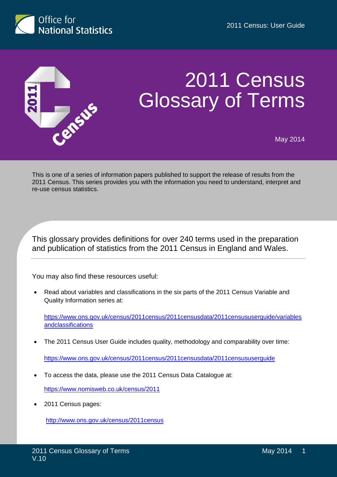



# 2011 Census Glossary of Terms

May 2014

This is one of a series of information papers published to support the release of results from the 2011 Census. This series provides you with the information you need to understand, interpret and re-use census statistics.

This glossary provides definitions for over 240 terms used in the preparation and publication of statistics from the 2011 Census in England and Wales.

You may also find these resources useful:

 Read about variables and classifications in the six parts of the 2011 Census Variable and Quality Information series at:

[https://www.ons.gov.uk/census/2011census/2011censusdata/2011censususerguide/variables](https://www.ons.gov.uk/census/2011census/2011censusdata/2011censususerguide/variablesandclassifications) **[andclassifications](https://www.ons.gov.uk/census/2011census/2011censusdata/2011censususerguide/variablesandclassifications)** 

The 2011 Census User Guide includes quality, methodology and comparability over time:

<https://www.ons.gov.uk/census/2011census/2011censusdata/2011censususerguide>

To access the data, please use the 2011 Census Data Catalogue at:

<https://www.nomisweb.co.uk/census/2011>

2011 Census pages:

<http://www.ons.gov.uk/census/2011census>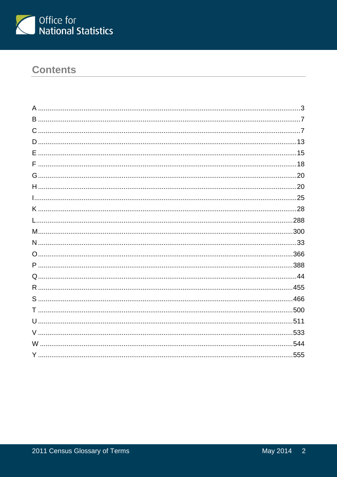

# **Contents**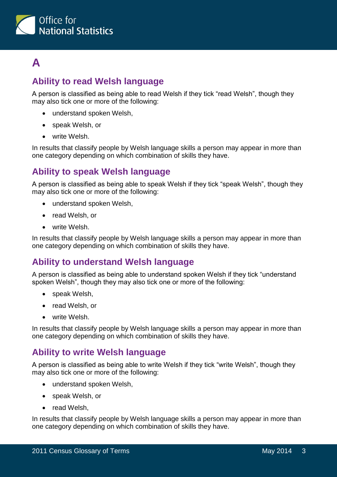

# <span id="page-2-0"></span>**A**

# **Ability to read Welsh language**

A person is classified as being able to read Welsh if they tick "read Welsh", though they may also tick one or more of the following:

- understand spoken Welsh,
- speak Welsh, or
- write Welsh.

In results that classify people by Welsh language skills a person may appear in more than one category depending on which combination of skills they have.

# **Ability to speak Welsh language**

A person is classified as being able to speak Welsh if they tick "speak Welsh", though they may also tick one or more of the following:

- understand spoken Welsh,
- read Welsh, or
- write Welsh.

In results that classify people by Welsh language skills a person may appear in more than one category depending on which combination of skills they have.

# **Ability to understand Welsh language**

A person is classified as being able to understand spoken Welsh if they tick "understand spoken Welsh", though they may also tick one or more of the following:

- speak Welsh,
- read Welsh, or
- write Welsh.

In results that classify people by Welsh language skills a person may appear in more than one category depending on which combination of skills they have.

# **Ability to write Welsh language**

A person is classified as being able to write Welsh if they tick "write Welsh", though they may also tick one or more of the following:

- understand spoken Welsh,
- speak Welsh, or
- read Welsh.

In results that classify people by Welsh language skills a person may appear in more than one category depending on which combination of skills they have.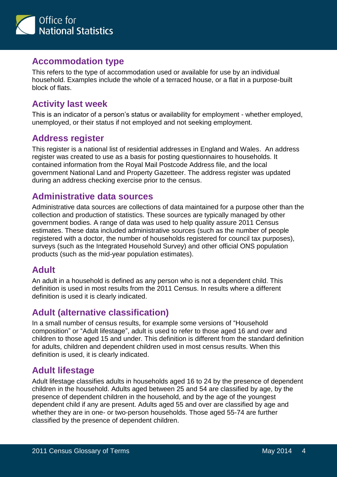

#### **Accommodation type**

This refers to the type of accommodation used or available for use by an individual household. Examples include the whole of a terraced house, or a flat in a purpose-built block of flats.

#### **Activity last week**

This is an indicator of a person's status or availability for employment - whether employed, unemployed, or their status if not employed and not seeking employment.

# **Address register**

This register is a national list of residential addresses in England and Wales. An address register was created to use as a basis for posting questionnaires to households. It contained information from the Royal Mail Postcode Address file, and the local government National Land and Property Gazetteer. The address register was updated during an address checking exercise prior to the census.

#### **Administrative data sources**

Administrative data sources are collections of data maintained for a purpose other than the collection and production of statistics. These sources are typically managed by other government bodies. A range of data was used to help quality assure 2011 Census estimates. These data included administrative sources (such as the number of people registered with a doctor, the number of households registered for council tax purposes), surveys (such as the Integrated Household Survey) and other official ONS population products (such as the mid-year population estimates).

# **Adult**

An adult in a household is defined as any person who is not a dependent child. This definition is used in most results from the 2011 Census. In results where a different definition is used it is clearly indicated.

# **Adult (alternative classification)**

In a small number of census results, for example some versions of "Household composition" or "Adult lifestage", adult is used to refer to those aged 16 and over and children to those aged 15 and under. This definition is different from the standard definition for adults, children and dependent children used in most census results. When this definition is used, it is clearly indicated.

# **Adult lifestage**

Adult lifestage classifies adults in households aged 16 to 24 by the presence of dependent children in the household. Adults aged between 25 and 54 are classified by age, by the presence of dependent children in the household, and by the age of the youngest dependent child if any are present. Adults aged 55 and over are classified by age and whether they are in one- or two-person households. Those aged 55-74 are further classified by the presence of dependent children.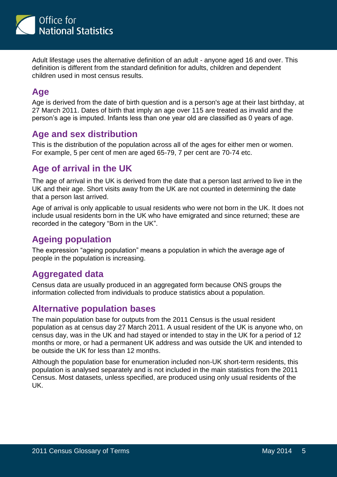

Adult lifestage uses the alternative definition of an adult - anyone aged 16 and over. This definition is different from the standard definition for adults, children and dependent children used in most census results.

# **Age**

Age is derived from the date of birth question and is a person's age at their last birthday, at 27 March 2011. Dates of birth that imply an age over 115 are treated as invalid and the person's age is imputed. Infants less than one year old are classified as 0 years of age.

# **Age and sex distribution**

This is the distribution of the population across all of the ages for either men or women. For example, 5 per cent of men are aged 65-79, 7 per cent are 70-74 etc.

#### **Age of arrival in the UK**

The age of arrival in the UK is derived from the date that a person last arrived to live in the UK and their age. Short visits away from the UK are not counted in determining the date that a person last arrived.

Age of arrival is only applicable to usual residents who were not born in the UK. It does not include usual residents born in the UK who have emigrated and since returned; these are recorded in the category "Born in the UK".

#### **Ageing population**

The expression "ageing population" means a population in which the average age of people in the population is increasing.

# **Aggregated data**

Census data are usually produced in an aggregated form because ONS groups the information collected from individuals to produce statistics about a population.

#### **Alternative population bases**

The main population base for outputs from the 2011 Census is the usual resident population as at census day 27 March 2011. A usual resident of the UK is anyone who, on census day, was in the UK and had stayed or intended to stay in the UK for a period of 12 months or more, or had a permanent UK address and was outside the UK and intended to be outside the UK for less than 12 months.

Although the population base for enumeration included non-UK short-term residents, this population is analysed separately and is not included in the main statistics from the 2011 Census. Most datasets, unless specified, are produced using only usual residents of the UK.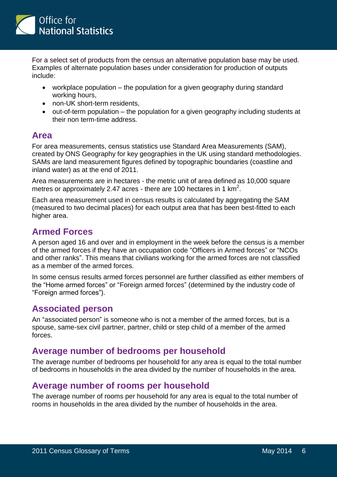

For a select set of products from the census an alternative population base may be used. Examples of alternate population bases under consideration for production of outputs include:

- workplace population the population for a given geography during standard working hours,
- non-UK short-term residents.
- out-of-term population the population for a given geography including students at their non term-time address.

#### **Area**

For area measurements, census statistics use Standard Area Measurements (SAM), created by ONS Geography for key geographies in the UK using standard methodologies. SAMs are land measurement figures defined by topographic boundaries (coastline and inland water) as at the end of 2011.

Area measurements are in hectares - the metric unit of area defined as 10,000 square metres or approximately 2.47 acres - there are 100 hectares in 1 km<sup>2</sup>.

Each area measurement used in census results is calculated by aggregating the SAM (measured to two decimal places) for each output area that has been best-fitted to each higher area.

#### **Armed Forces**

A person aged 16 and over and in employment in the week before the census is a member of the armed forces if they have an occupation code "Officers in Armed forces" or "NCOs and other ranks". This means that civilians working for the armed forces are not classified as a member of the armed forces.

In some census results armed forces personnel are further classified as either members of the "Home armed forces" or "Foreign armed forces" (determined by the industry code of "Foreign armed forces").

#### **Associated person**

An "associated person" is someone who is not a member of the armed forces, but is a spouse, same-sex civil partner, partner, child or step child of a member of the armed forces.

#### **Average number of bedrooms per household**

The average number of bedrooms per household for any area is equal to the total number of bedrooms in households in the area divided by the number of households in the area.

#### **Average number of rooms per household**

The average number of rooms per household for any area is equal to the total number of rooms in households in the area divided by the number of households in the area.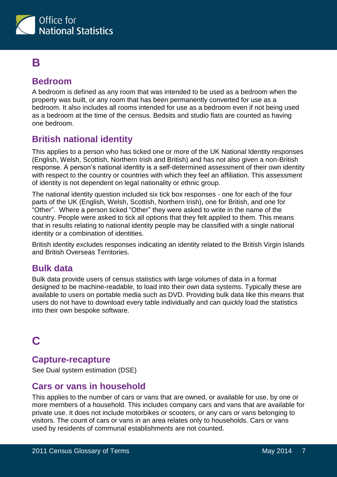

# <span id="page-6-0"></span>**B**

#### **Bedroom**

A bedroom is defined as any room that was intended to be used as a bedroom when the property was built, or any room that has been permanently converted for use as a bedroom. It also includes all rooms intended for use as a bedroom even if not being used as a bedroom at the time of the census. Bedsits and studio flats are counted as having one bedroom.

# **British national identity**

This applies to a person who has ticked one or more of the UK National Identity responses (English, Welsh, Scottish, Northern Irish and British) and has not also given a non-British response. A person's national identity is a self-determined assessment of their own identity with respect to the country or countries with which they feel an affiliation. This assessment of identity is not dependent on legal nationality or ethnic group.

The national identity question included six tick box responses - one for each of the four parts of the UK (English, Welsh, Scottish, Northern Irish), one for British, and one for "Other". Where a person ticked "Other" they were asked to write in the name of the country. People were asked to tick all options that they felt applied to them. This means that in results relating to national identity people may be classified with a single national identity or a combination of identities.

British identity excludes responses indicating an identity related to the British Virgin Islands and British Overseas Territories.

#### **Bulk data**

Bulk data provide users of census statistics with large volumes of data in a format designed to be machine-readable, to load into their own data systems. Typically these are available to users on portable media such as DVD. Providing bulk data like this means that users do not have to download every table individually and can quickly load the statistics into their own bespoke software.

# <span id="page-6-1"></span>**C**

#### **Capture-recapture**

See Dual system estimation (DSE)

#### **Cars or vans in household**

This applies to the number of cars or vans that are owned, or available for use, by one or more members of a household. This includes company cars and vans that are available for private use. It does not include motorbikes or scooters, or any cars or vans belonging to visitors. The count of cars or vans in an area relates only to households. Cars or vans used by residents of communal establishments are not counted.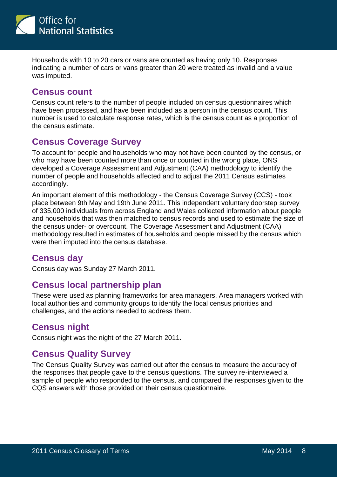

Households with 10 to 20 cars or vans are counted as having only 10. Responses indicating a number of cars or vans greater than 20 were treated as invalid and a value was imputed.

#### **Census count**

Census count refers to the number of people included on census questionnaires which have been processed, and have been included as a person in the census count. This number is used to calculate response rates, which is the census count as a proportion of the census estimate.

#### **Census Coverage Survey**

To account for people and households who may not have been counted by the census, or who may have been counted more than once or counted in the wrong place, ONS developed a Coverage Assessment and Adjustment (CAA) methodology to identify the number of people and households affected and to adjust the 2011 Census estimates accordingly.

An important element of this methodology - the Census Coverage Survey (CCS) - took place between 9th May and 19th June 2011. This independent voluntary doorstep survey of 335,000 individuals from across England and Wales collected information about people and households that was then matched to census records and used to estimate the size of the census under- or overcount. The Coverage Assessment and Adjustment (CAA) methodology resulted in estimates of households and people missed by the census which were then imputed into the census database.

#### **Census day**

Census day was Sunday 27 March 2011.

# **Census local partnership plan**

These were used as planning frameworks for area managers. Area managers worked with local authorities and community groups to identify the local census priorities and challenges, and the actions needed to address them.

#### **Census night**

Census night was the night of the 27 March 2011.

# **Census Quality Survey**

The Census Quality Survey was carried out after the census to measure the accuracy of the responses that people gave to the census questions. The survey re-interviewed a sample of people who responded to the census, and compared the responses given to the CQS answers with those provided on their census questionnaire.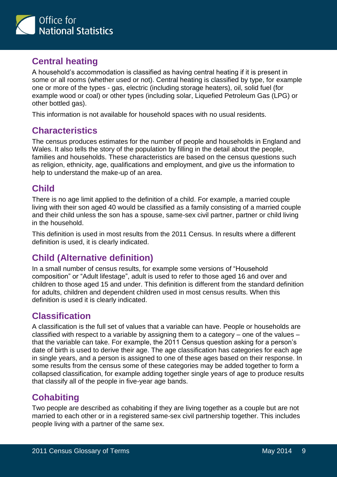

# **Central heating**

A household's accommodation is classified as having central heating if it is present in some or all rooms (whether used or not). Central heating is classified by type, for example one or more of the types - gas, electric (including storage heaters), oil, solid fuel (for example wood or coal) or other types (including solar, Liquefied Petroleum Gas (LPG) or other bottled gas).

This information is not available for household spaces with no usual residents.

#### **Characteristics**

The census produces estimates for the number of people and households in England and Wales. It also tells the story of the population by filling in the detail about the people, families and households. These characteristics are based on the census questions such as religion, ethnicity, age, qualifications and employment, and give us the information to help to understand the make-up of an area.

# **Child**

There is no age limit applied to the definition of a child. For example, a married couple living with their son aged 40 would be classified as a family consisting of a married couple and their child unless the son has a spouse, same-sex civil partner, partner or child living in the household.

This definition is used in most results from the 2011 Census. In results where a different definition is used, it is clearly indicated.

# **Child (Alternative definition)**

In a small number of census results, for example some versions of "Household composition" or "Adult lifestage", adult is used to refer to those aged 16 and over and children to those aged 15 and under. This definition is different from the standard definition for adults, children and dependent children used in most census results. When this definition is used it is clearly indicated.

# **Classification**

A classification is the full set of values that a variable can have. People or households are classified with respect to a variable by assigning them to a category – one of the values – that the variable can take. For example, the 2011 Census question asking for a person's date of birth is used to derive their age. The age classification has categories for each age in single years, and a person is assigned to one of these ages based on their response. In some results from the census some of these categories may be added together to form a collapsed classification, for example adding together single years of age to produce results that classify all of the people in five-year age bands.

#### **Cohabiting**

Two people are described as cohabiting if they are living together as a couple but are not married to each other or in a registered same-sex civil partnership together. This includes people living with a partner of the same sex.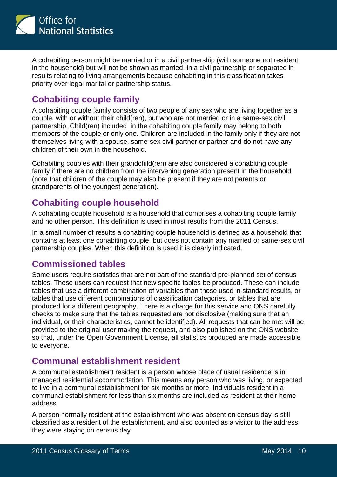

A cohabiting person might be married or in a civil partnership (with someone not resident in the household) but will not be shown as married, in a civil partnership or separated in results relating to living arrangements because cohabiting in this classification takes priority over legal marital or partnership status.

# **Cohabiting couple family**

A cohabiting couple family consists of two people of any sex who are living together as a couple, with or without their child(ren), but who are not married or in a same-sex civil partnership. Child(ren) included in the cohabiting couple family may belong to both members of the couple or only one. Children are included in the family only if they are not themselves living with a spouse, same-sex civil partner or partner and do not have any children of their own in the household.

Cohabiting couples with their grandchild(ren) are also considered a cohabiting couple family if there are no children from the intervening generation present in the household (note that children of the couple may also be present if they are not parents or grandparents of the youngest generation).

# **Cohabiting couple household**

A cohabiting couple household is a household that comprises a cohabiting couple family and no other person. This definition is used in most results from the 2011 Census.

In a small number of results a cohabiting couple household is defined as a household that contains at least one cohabiting couple, but does not contain any married or same-sex civil partnership couples. When this definition is used it is clearly indicated.

#### **Commissioned tables**

Some users require statistics that are not part of the standard pre-planned set of census tables. These users can request that new specific tables be produced. These can include tables that use a different combination of variables than those used in standard results, or tables that use different combinations of classification categories, or tables that are produced for a different geography. There is a charge for this service and ONS carefully checks to make sure that the tables requested are not disclosive (making sure that an individual, or their characteristics, cannot be identified). All requests that can be met will be provided to the original user making the request, and also published on the ONS website so that, under the Open Government License, all statistics produced are made accessible to everyone.

#### **Communal establishment resident**

A communal establishment resident is a person whose place of usual residence is in managed residential accommodation. This means any person who was living, or expected to live in a communal establishment for six months or more. Individuals resident in a communal establishment for less than six months are included as resident at their home address.

A person normally resident at the establishment who was absent on census day is still classified as a resident of the establishment, and also counted as a visitor to the address they were staying on census day.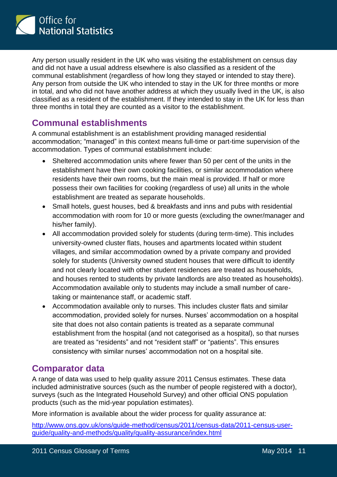

Any person usually resident in the UK who was visiting the establishment on census day and did not have a usual address elsewhere is also classified as a resident of the communal establishment (regardless of how long they stayed or intended to stay there). Any person from outside the UK who intended to stay in the UK for three months or more in total, and who did not have another address at which they usually lived in the UK, is also classified as a resident of the establishment. If they intended to stay in the UK for less than three months in total they are counted as a visitor to the establishment.

#### **Communal establishments**

A communal establishment is an establishment providing managed residential accommodation; "managed" in this context means full-time or part-time supervision of the accommodation. Types of communal establishment include:

- Sheltered accommodation units where fewer than 50 per cent of the units in the establishment have their own cooking facilities, or similar accommodation where residents have their own rooms, but the main meal is provided. If half or more possess their own facilities for cooking (regardless of use) all units in the whole establishment are treated as separate households.
- Small hotels, guest houses, bed & breakfasts and inns and pubs with residential accommodation with room for 10 or more guests (excluding the owner/manager and his/her family).
- All accommodation provided solely for students (during term-time). This includes university-owned cluster flats, houses and apartments located within student villages, and similar accommodation owned by a private company and provided solely for students (University owned student houses that were difficult to identify and not clearly located with other student residences are treated as households, and houses rented to students by private landlords are also treated as households). Accommodation available only to students may include a small number of caretaking or maintenance staff, or academic staff.
- Accommodation available only to nurses. This includes cluster flats and similar accommodation, provided solely for nurses. Nurses' accommodation on a hospital site that does not also contain patients is treated as a separate communal establishment from the hospital (and not categorised as a hospital), so that nurses are treated as "residents" and not "resident staff" or "patients". This ensures consistency with similar nurses' accommodation not on a hospital site.

#### **Comparator data**

A range of data was used to help quality assure 2011 Census estimates. These data included administrative sources (such as the number of people registered with a doctor), surveys (such as the Integrated Household Survey) and other official ONS population products (such as the mid-year population estimates).

More information is available about the wider process for quality assurance at:

[http://www.ons.gov.uk/ons/guide-method/census/2011/census-data/2011-census-user](http://www.ons.gov.uk/ons/guide-method/census/2011/census-data/2011-census-user-guide/quality-and-methods/quality/quality-assurance/index.html)[guide/quality-and-methods/quality/quality-assurance/index.html](http://www.ons.gov.uk/ons/guide-method/census/2011/census-data/2011-census-user-guide/quality-and-methods/quality/quality-assurance/index.html)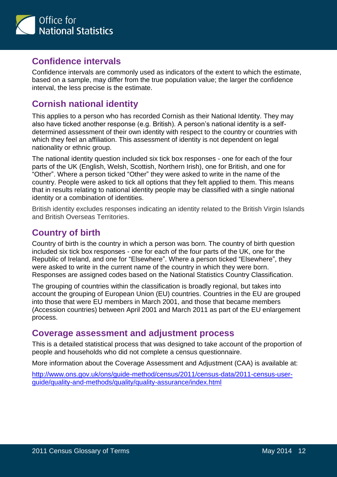

#### **Confidence intervals**

Confidence intervals are commonly used as indicators of the extent to which the estimate, based on a sample, may differ from the true population value; the larger the confidence interval, the less precise is the estimate.

# **Cornish national identity**

This applies to a person who has recorded Cornish as their National Identity. They may also have ticked another response (e.g. British). A person's national identity is a selfdetermined assessment of their own identity with respect to the country or countries with which they feel an affiliation. This assessment of identity is not dependent on legal nationality or ethnic group.

The national identity question included six tick box responses - one for each of the four parts of the UK (English, Welsh, Scottish, Northern Irish), one for British, and one for "Other". Where a person ticked "Other" they were asked to write in the name of the country. People were asked to tick all options that they felt applied to them. This means that in results relating to national identity people may be classified with a single national identity or a combination of identities.

British identity excludes responses indicating an identity related to the British Virgin Islands and British Overseas Territories.

# **Country of birth**

Country of birth is the country in which a person was born. The country of birth question included six tick box responses - one for each of the four parts of the UK, one for the Republic of Ireland, and one for "Elsewhere". Where a person ticked "Elsewhere", they were asked to write in the current name of the country in which they were born. Responses are assigned codes based on the National Statistics Country Classification.

The grouping of countries within the classification is broadly regional, but takes into account the grouping of European Union (EU) countries. Countries in the EU are grouped into those that were EU members in March 2001, and those that became members (Accession countries) between April 2001 and March 2011 as part of the EU enlargement process.

#### **Coverage assessment and adjustment process**

This is a detailed statistical process that was designed to take account of the proportion of people and households who did not complete a census questionnaire.

More information about the Coverage Assessment and Adjustment (CAA) is available at:

[http://www.ons.gov.uk/ons/guide-method/census/2011/census-data/2011-census-user](http://www.ons.gov.uk/ons/guide-method/census/2011/census-data/2011-census-user-guide/quality-and-methods/quality/quality-assurance/index.html)[guide/quality-and-methods/quality/quality-assurance/index.html](http://www.ons.gov.uk/ons/guide-method/census/2011/census-data/2011-census-user-guide/quality-and-methods/quality/quality-assurance/index.html)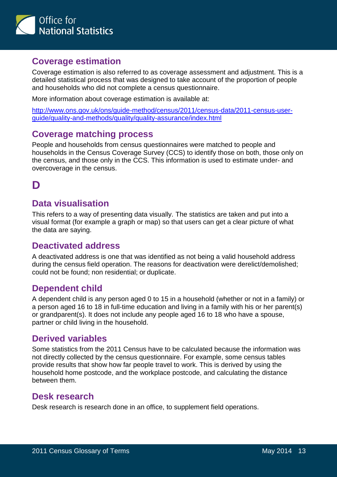

#### **Coverage estimation**

Coverage estimation is also referred to as coverage assessment and adjustment. This is a detailed statistical process that was designed to take account of the proportion of people and households who did not complete a census questionnaire.

More information about coverage estimation is available at:

[http://www.ons.gov.uk/ons/guide-method/census/2011/census-data/2011-census-user](http://www.ons.gov.uk/ons/guide-method/census/2011/census-data/2011-census-user-guide/quality-and-methods/quality/quality-assurance/index.html)[guide/quality-and-methods/quality/quality-assurance/index.html](http://www.ons.gov.uk/ons/guide-method/census/2011/census-data/2011-census-user-guide/quality-and-methods/quality/quality-assurance/index.html)

#### **Coverage matching process**

People and households from census questionnaires were matched to people and households in the Census Coverage Survey (CCS) to identify those on both, those only on the census, and those only in the CCS. This information is used to estimate under- and overcoverage in the census.

# <span id="page-12-0"></span>**D**

#### **Data visualisation**

This refers to a way of presenting data visually. The statistics are taken and put into a visual format (for example a graph or map) so that users can get a clear picture of what the data are saying.

#### **Deactivated address**

A deactivated address is one that was identified as not being a valid household address during the census field operation. The reasons for deactivation were derelict/demolished; could not be found; non residential; or duplicate.

#### **Dependent child**

A dependent child is any person aged 0 to 15 in a household (whether or not in a family) or a person aged 16 to 18 in full-time education and living in a family with his or her parent(s) or grandparent(s). It does not include any people aged 16 to 18 who have a spouse, partner or child living in the household.

#### **Derived variables**

Some statistics from the 2011 Census have to be calculated because the information was not directly collected by the census questionnaire. For example, some census tables provide results that show how far people travel to work. This is derived by using the household home postcode, and the workplace postcode, and calculating the distance between them.

#### **Desk research**

Desk research is research done in an office, to supplement field operations.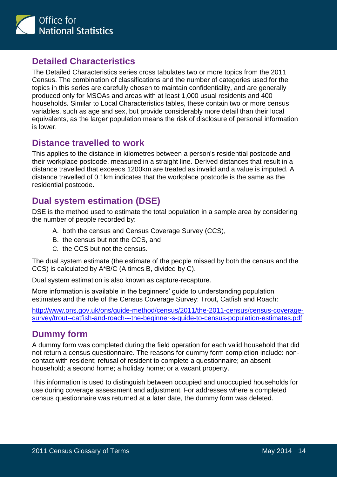

#### **Detailed Characteristics**

The Detailed Characteristics series cross tabulates two or more topics from the 2011 Census. The combination of classifications and the number of categories used for the topics in this series are carefully chosen to maintain confidentiality, and are generally produced only for MSOAs and areas with at least 1,000 usual residents and 400 households. Similar to Local Characteristics tables, these contain two or more census variables, such as age and sex, but provide considerably more detail than their local equivalents, as the larger population means the risk of disclosure of personal information is lower.

#### **Distance travelled to work**

This applies to the distance in kilometres between a person's residential postcode and their workplace postcode, measured in a straight line. Derived distances that result in a distance travelled that exceeds 1200km are treated as invalid and a value is imputed. A distance travelled of 0.1km indicates that the workplace postcode is the same as the residential postcode.

# **Dual system estimation (DSE)**

DSE is the method used to estimate the total population in a sample area by considering the number of people recorded by:

- A. both the census and Census Coverage Survey (CCS),
- B. the census but not the CCS, and
- C. the CCS but not the census.

The dual system estimate (the estimate of the people missed by both the census and the CCS) is calculated by A\*B/C (A times B, divided by C).

Dual system estimation is also known as capture-recapture.

More information is available in the beginners' guide to understanding population estimates and the role of the Census Coverage Survey: Trout, Catfish and Roach:

[http://www.ons.gov.uk/ons/guide-method/census/2011/the-2011-census/census-coverage](http://www.ons.gov.uk/ons/guide-method/census/2011/the-2011-census/census-coverage-survey/trout--catfish-and-roach---the-beginner-s-guide-to-census-population-estimates.pdf)[survey/trout--catfish-and-roach---the-beginner-s-guide-to-census-population-estimates.pdf](http://www.ons.gov.uk/ons/guide-method/census/2011/the-2011-census/census-coverage-survey/trout--catfish-and-roach---the-beginner-s-guide-to-census-population-estimates.pdf)

#### **Dummy form**

A dummy form was completed during the field operation for each valid household that did not return a census questionnaire. The reasons for dummy form completion include: noncontact with resident; refusal of resident to complete a questionnaire; an absent household; a second home; a holiday home; or a vacant property.

This information is used to distinguish between occupied and unoccupied households for use during coverage assessment and adjustment. For addresses where a completed census questionnaire was returned at a later date, the dummy form was deleted.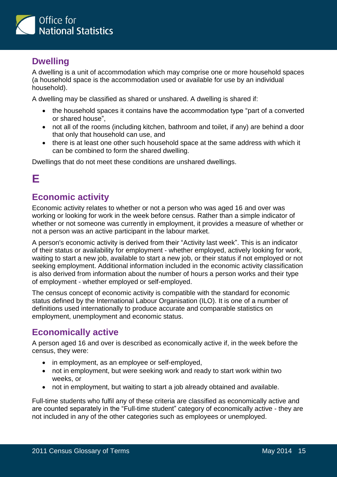

# **Dwelling**

A dwelling is a unit of accommodation which may comprise one or more household spaces (a household space is the accommodation used or available for use by an individual household).

A dwelling may be classified as shared or unshared. A dwelling is shared if:

- the household spaces it contains have the accommodation type "part of a converted or shared house",
- not all of the rooms (including kitchen, bathroom and toilet, if any) are behind a door that only that household can use, and
- there is at least one other such household space at the same address with which it can be combined to form the shared dwelling.

Dwellings that do not meet these conditions are unshared dwellings.

# <span id="page-14-0"></span>**E**

# **Economic activity**

Economic activity relates to whether or not a person who was aged 16 and over was working or looking for work in the week before census. Rather than a simple indicator of whether or not someone was currently in employment, it provides a measure of whether or not a person was an active participant in the labour market.

A person's economic activity is derived from their "Activity last week". This is an indicator of their status or availability for employment - whether employed, actively looking for work, waiting to start a new job, available to start a new job, or their status if not employed or not seeking employment. Additional information included in the economic activity classification is also derived from information about the number of hours a person works and their type of employment - whether employed or self-employed.

The census concept of economic activity is compatible with the standard for economic status defined by the International Labour Organisation (ILO). It is one of a number of definitions used internationally to produce accurate and comparable statistics on employment, unemployment and economic status.

# **Economically active**

A person aged 16 and over is described as economically active if, in the week before the census, they were:

- in employment, as an employee or self-employed,
- not in employment, but were seeking work and ready to start work within two weeks, or
- not in employment, but waiting to start a job already obtained and available.

Full-time students who fulfil any of these criteria are classified as economically active and are counted separately in the "Full-time student" category of economically active - they are not included in any of the other categories such as employees or unemployed.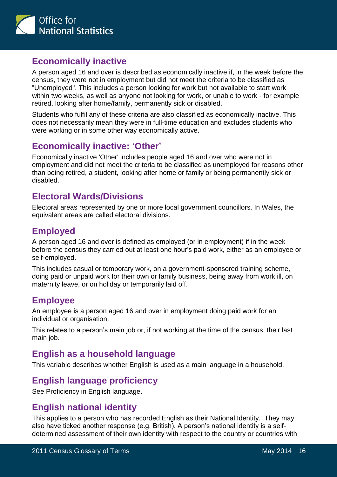

#### **Economically inactive**

A person aged 16 and over is described as economically inactive if, in the week before the census, they were not in employment but did not meet the criteria to be classified as "Unemployed". This includes a person looking for work but not available to start work within two weeks, as well as anyone not looking for work, or unable to work - for example retired, looking after home/family, permanently sick or disabled.

Students who fulfil any of these criteria are also classified as economically inactive. This does not necessarily mean they were in full-time education and excludes students who were working or in some other way economically active.

# **Economically inactive: 'Other'**

Economically inactive 'Other' includes people aged 16 and over who were not in employment and did not meet the criteria to be classified as unemployed for reasons other than being retired, a student, looking after home or family or being permanently sick or disabled.

# **Electoral Wards/Divisions**

Electoral areas represented by one or more local government councillors. In Wales, the equivalent areas are called electoral divisions.

# **Employed**

A person aged 16 and over is defined as employed (or in employment) if in the week before the census they carried out at least one hour's paid work, either as an employee or self-employed.

This includes casual or temporary work, on a government-sponsored training scheme, doing paid or unpaid work for their own or family business, being away from work ill, on maternity leave, or on holiday or temporarily laid off.

# **Employee**

An employee is a person aged 16 and over in employment doing paid work for an individual or organisation.

This relates to a person's main job or, if not working at the time of the census, their last main job.

# **English as a household language**

This variable describes whether English is used as a main language in a household.

# **English language proficiency**

See Proficiency in English language.

#### **English national identity**

This applies to a person who has recorded English as their National Identity. They may also have ticked another response (e.g. British). A person's national identity is a selfdetermined assessment of their own identity with respect to the country or countries with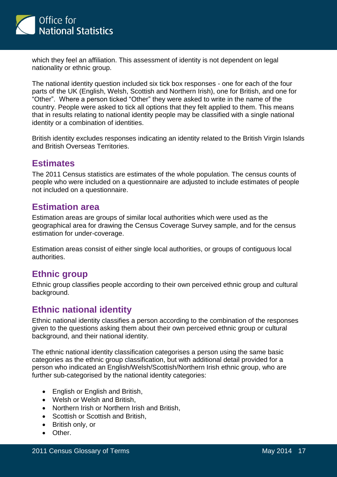

which they feel an affiliation. This assessment of identity is not dependent on legal nationality or ethnic group.

The national identity question included six tick box responses - one for each of the four parts of the UK (English, Welsh, Scottish and Northern Irish), one for British, and one for "Other". Where a person ticked "Other" they were asked to write in the name of the country. People were asked to tick all options that they felt applied to them. This means that in results relating to national identity people may be classified with a single national identity or a combination of identities.

British identity excludes responses indicating an identity related to the British Virgin Islands and British Overseas Territories.

#### **Estimates**

The 2011 Census statistics are estimates of the whole population. The census counts of people who were included on a questionnaire are adjusted to include estimates of people not included on a questionnaire.

#### **Estimation area**

Estimation areas are groups of similar local authorities which were used as the geographical area for drawing the Census Coverage Survey sample, and for the census estimation for under-coverage.

Estimation areas consist of either single local authorities, or groups of contiguous local authorities.

#### **Ethnic group**

Ethnic group classifies people according to their own perceived ethnic group and cultural background.

#### **Ethnic national identity**

Ethnic national identity classifies a person according to the combination of the responses given to the questions asking them about their own perceived ethnic group or cultural background, and their national identity.

The ethnic national identity classification categorises a person using the same basic categories as the ethnic group classification, but with additional detail provided for a person who indicated an English/Welsh/Scottish/Northern Irish ethnic group, who are further sub-categorised by the national identity categories:

- English or English and British,
- Welsh or Welsh and British,
- Northern Irish or Northern Irish and British,
- Scottish or Scottish and British,
- British only, or
- Other.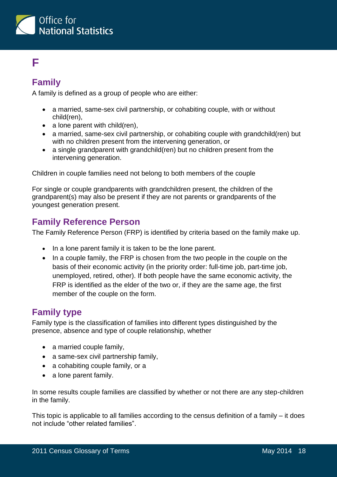

# <span id="page-17-0"></span>**F**

# **Family**

A family is defined as a group of people who are either:

- a married, same-sex civil partnership, or cohabiting couple, with or without child(ren),
- $\bullet$  a lone parent with child(ren),
- a married, same-sex civil partnership, or cohabiting couple with grandchild(ren) but with no children present from the intervening generation, or
- a single grandparent with grandchild(ren) but no children present from the intervening generation.

Children in couple families need not belong to both members of the couple

For single or couple grandparents with grandchildren present, the children of the grandparent(s) may also be present if they are not parents or grandparents of the youngest generation present.

#### **Family Reference Person**

The Family Reference Person (FRP) is identified by criteria based on the family make up.

- In a lone parent family it is taken to be the lone parent.
- In a couple family, the FRP is chosen from the two people in the couple on the basis of their economic activity (in the priority order: full-time job, part-time job, unemployed, retired, other). If both people have the same economic activity, the FRP is identified as the elder of the two or, if they are the same age, the first member of the couple on the form.

#### **Family type**

Family type is the classification of families into different types distinguished by the presence, absence and type of couple relationship, whether

- a married couple family,
- a same-sex civil partnership family,
- a cohabiting couple family, or a
- a lone parent family.

In some results couple families are classified by whether or not there are any step-children in the family.

This topic is applicable to all families according to the census definition of a family – it does not include "other related families".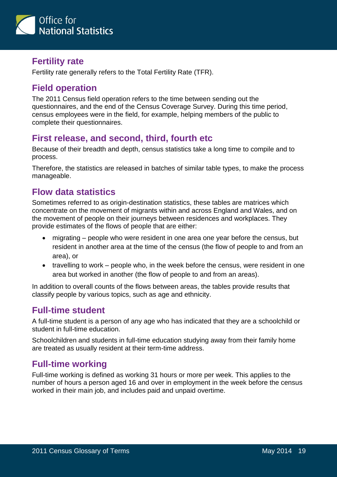

#### **Fertility rate**

Fertility rate generally refers to the Total Fertility Rate (TFR).

#### **Field operation**

The 2011 Census field operation refers to the time between sending out the questionnaires, and the end of the Census Coverage Survey. During this time period, census employees were in the field, for example, helping members of the public to complete their questionnaires.

#### **First release, and second, third, fourth etc**

Because of their breadth and depth, census statistics take a long time to compile and to process.

Therefore, the statistics are released in batches of similar table types, to make the process manageable.

#### **Flow data statistics**

Sometimes referred to as origin-destination statistics, these tables are matrices which concentrate on the movement of migrants within and across England and Wales, and on the movement of people on their journeys between residences and workplaces. They provide estimates of the flows of people that are either:

- migrating people who were resident in one area one year before the census, but resident in another area at the time of the census (the flow of people to and from an area), or
- travelling to work people who, in the week before the census, were resident in one area but worked in another (the flow of people to and from an areas).

In addition to overall counts of the flows between areas, the tables provide results that classify people by various topics, such as age and ethnicity.

#### **Full-time student**

A full-time student is a person of any age who has indicated that they are a schoolchild or student in full-time education.

Schoolchildren and students in full-time education studying away from their family home are treated as usually resident at their term-time address.

#### **Full-time working**

Full-time working is defined as working 31 hours or more per week. This applies to the number of hours a person aged 16 and over in employment in the week before the census worked in their main job, and includes paid and unpaid overtime.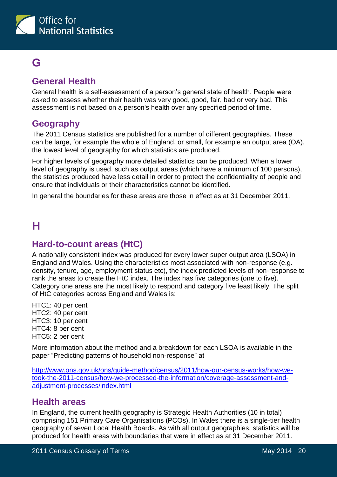

# <span id="page-19-0"></span>**G**

# **General Health**

General health is a self-assessment of a person's general state of health. People were asked to assess whether their health was very good, good, fair, bad or very bad. This assessment is not based on a person's health over any specified period of time.

#### **Geography**

The 2011 Census statistics are published for a number of different geographies. These can be large, for example the whole of England, or small, for example an output area (OA), the lowest level of geography for which statistics are produced.

For higher levels of geography more detailed statistics can be produced. When a lower level of geography is used, such as output areas (which have a minimum of 100 persons), the statistics produced have less detail in order to protect the confidentiality of people and ensure that individuals or their characteristics cannot be identified.

<span id="page-19-1"></span>In general the boundaries for these areas are those in effect as at 31 December 2011.

# **H**

#### **Hard-to-count areas (HtC)**

A nationally consistent index was produced for every lower super output area (LSOA) in England and Wales. Using the characteristics most associated with non-response (e.g. density, tenure, age, employment status etc), the index predicted levels of non-response to rank the areas to create the HtC index. The index has five categories (one to five). Category one areas are the most likely to respond and category five least likely. The split of HtC categories across England and Wales is:

HTC1: 40 per cent HTC2: 40 per cent HTC3: 10 per cent HTC4: 8 per cent HTC5: 2 per cent

More information about the method and a breakdown for each LSOA is available in the paper "Predicting patterns of household non-response" at

[http://www.ons.gov.uk/ons/guide-method/census/2011/how-our-census-works/how-we](http://www.ons.gov.uk/ons/guide-method/census/2011/how-our-census-works/how-we-took-the-2011-census/how-we-processed-the-information/coverage-assessment-and-adjustment-processes/index.html)[took-the-2011-census/how-we-processed-the-information/coverage-assessment-and](http://www.ons.gov.uk/ons/guide-method/census/2011/how-our-census-works/how-we-took-the-2011-census/how-we-processed-the-information/coverage-assessment-and-adjustment-processes/index.html)[adjustment-processes/index.html](http://www.ons.gov.uk/ons/guide-method/census/2011/how-our-census-works/how-we-took-the-2011-census/how-we-processed-the-information/coverage-assessment-and-adjustment-processes/index.html)

#### **Health areas**

In England, the current health geography is Strategic Health Authorities (10 in total) comprising 151 Primary Care Organisations (PCOs). In Wales there is a single-tier health geography of seven Local Health Boards. As with all output geographies, statistics will be produced for health areas with boundaries that were in effect as at 31 December 2011.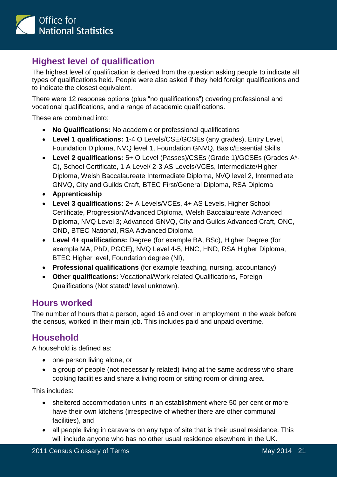

# **Highest level of qualification**

The highest level of qualification is derived from the question asking people to indicate all types of qualifications held. People were also asked if they held foreign qualifications and to indicate the closest equivalent.

There were 12 response options (plus "no qualifications") covering professional and vocational qualifications, and a range of academic qualifications.

These are combined into:

- **No Qualifications:** No academic or professional qualifications
- **Level 1 qualifications:** 1-4 O Levels/CSE/GCSEs (any grades), Entry Level, Foundation Diploma, NVQ level 1, Foundation GNVQ, Basic/Essential Skills
- **Level 2 qualifications:** 5+ O Level (Passes)/CSEs (Grade 1)/GCSEs (Grades A\*- C), School Certificate, 1 A Level/ 2-3 AS Levels/VCEs, Intermediate/Higher Diploma, Welsh Baccalaureate Intermediate Diploma, NVQ level 2, Intermediate GNVQ, City and Guilds Craft, BTEC First/General Diploma, RSA Diploma
- **Apprenticeship**
- **Level 3 qualifications:** 2+ A Levels/VCEs, 4+ AS Levels, Higher School Certificate, Progression/Advanced Diploma, Welsh Baccalaureate Advanced Diploma, NVQ Level 3; Advanced GNVQ, City and Guilds Advanced Craft, ONC, OND, BTEC National, RSA Advanced Diploma
- **Level 4+ qualifications:** Degree (for example BA, BSc), Higher Degree (for example MA, PhD, PGCE), NVQ Level 4-5, HNC, HND, RSA Higher Diploma, BTEC Higher level, Foundation degree (NI),
- **Professional qualifications** (for example teaching, nursing, accountancy)
- **Other qualifications:** Vocational/Work-related Qualifications, Foreign Qualifications (Not stated/ level unknown).

#### **Hours worked**

The number of hours that a person, aged 16 and over in employment in the week before the census, worked in their main job. This includes paid and unpaid overtime.

#### **Household**

A household is defined as:

- one person living alone, or
- a group of people (not necessarily related) living at the same address who share cooking facilities and share a living room or sitting room or dining area.

This includes:

- sheltered accommodation units in an establishment where 50 per cent or more have their own kitchens (irrespective of whether there are other communal facilities), and
- all people living in caravans on any type of site that is their usual residence. This will include anyone who has no other usual residence elsewhere in the UK.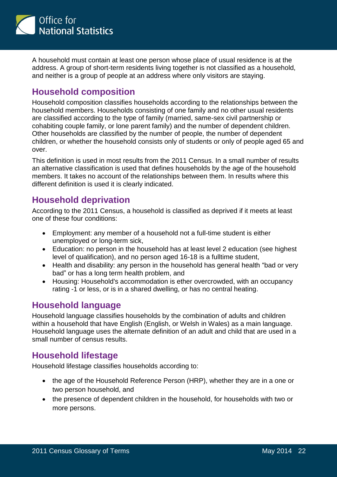

A household must contain at least one person whose place of usual residence is at the address. A group of short-term residents living together is not classified as a household, and neither is a group of people at an address where only visitors are staying.

# **Household composition**

Household composition classifies households according to the relationships between the household members. Households consisting of one family and no other usual residents are classified according to the type of family (married, same-sex civil partnership or cohabiting couple family, or lone parent family) and the number of dependent children. Other households are classified by the number of people, the number of dependent children, or whether the household consists only of students or only of people aged 65 and over.

This definition is used in most results from the 2011 Census. In a small number of results an alternative classification is used that defines households by the age of the household members. It takes no account of the relationships between them. In results where this different definition is used it is clearly indicated.

#### **Household deprivation**

According to the 2011 Census, a household is classified as deprived if it meets at least one of these four conditions:

- Employment: any member of a household not a full-time student is either unemployed or long-term sick,
- Education: no person in the household has at least level 2 education (see highest level of qualification), and no person aged 16-18 is a fulltime student,
- Health and disability: any person in the household has general health "bad or very bad" or has a long term health problem, and
- Housing: Household's accommodation is ether overcrowded, with an occupancy rating -1 or less, or is in a shared dwelling, or has no central heating.

#### **Household language**

Household language classifies households by the combination of adults and children within a household that have English (English, or Welsh in Wales) as a main language. Household language uses the alternate definition of an adult and child that are used in a small number of census results.

#### **Household lifestage**

Household lifestage classifies households according to:

- the age of the Household Reference Person (HRP), whether they are in a one or two person household, and
- the presence of dependent children in the household, for households with two or more persons.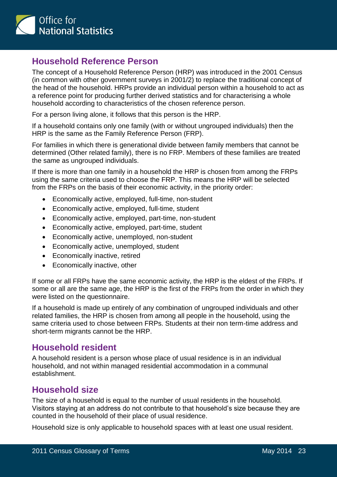

#### **Household Reference Person**

The concept of a Household Reference Person (HRP) was introduced in the 2001 Census (in common with other government surveys in 2001/2) to replace the traditional concept of the head of the household. HRPs provide an individual person within a household to act as a reference point for producing further derived statistics and for characterising a whole household according to characteristics of the chosen reference person.

For a person living alone, it follows that this person is the HRP.

If a household contains only one family (with or without ungrouped individuals) then the HRP is the same as the Family Reference Person (FRP).

For families in which there is generational divide between family members that cannot be determined (Other related family), there is no FRP. Members of these families are treated the same as ungrouped individuals.

If there is more than one family in a household the HRP is chosen from among the FRPs using the same criteria used to choose the FRP. This means the HRP will be selected from the FRPs on the basis of their economic activity, in the priority order:

- Economically active, employed, full-time, non-student
- Economically active, employed, full-time, student
- Economically active, employed, part-time, non-student
- Economically active, employed, part-time, student
- Economically active, unemployed, non-student
- Economically active, unemployed, student
- Economically inactive, retired
- Economically inactive, other

If some or all FRPs have the same economic activity, the HRP is the eldest of the FRPs. If some or all are the same age, the HRP is the first of the FRPs from the order in which they were listed on the questionnaire.

If a household is made up entirely of any combination of ungrouped individuals and other related families, the HRP is chosen from among all people in the household, using the same criteria used to chose between FRPs. Students at their non term-time address and short-term migrants cannot be the HRP.

#### **Household resident**

A household resident is a person whose place of usual residence is in an individual household, and not within managed residential accommodation in a communal establishment.

#### **Household size**

The size of a household is equal to the number of usual residents in the household. Visitors staying at an address do not contribute to that household's size because they are counted in the household of their place of usual residence.

Household size is only applicable to household spaces with at least one usual resident.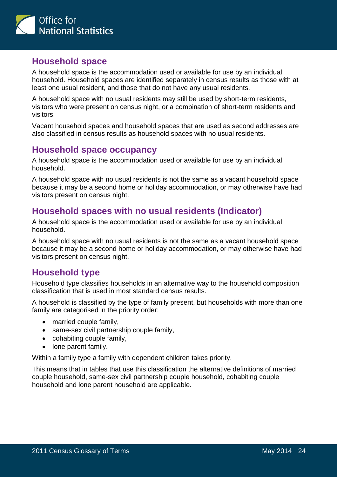

#### **Household space**

A household space is the accommodation used or available for use by an individual household. Household spaces are identified separately in census results as those with at least one usual resident, and those that do not have any usual residents.

A household space with no usual residents may still be used by short-term residents, visitors who were present on census night, or a combination of short-term residents and visitors.

Vacant household spaces and household spaces that are used as second addresses are also classified in census results as household spaces with no usual residents.

#### **Household space occupancy**

A household space is the accommodation used or available for use by an individual household.

A household space with no usual residents is not the same as a vacant household space because it may be a second home or holiday accommodation, or may otherwise have had visitors present on census night.

# **Household spaces with no usual residents (Indicator)**

A household space is the accommodation used or available for use by an individual household.

A household space with no usual residents is not the same as a vacant household space because it may be a second home or holiday accommodation, or may otherwise have had visitors present on census night.

#### **Household type**

Household type classifies households in an alternative way to the household composition classification that is used in most standard census results.

A household is classified by the type of family present, but households with more than one family are categorised in the priority order:

- married couple family.
- same-sex civil partnership couple family,
- cohabiting couple family,
- lone parent family.

Within a family type a family with dependent children takes priority.

This means that in tables that use this classification the alternative definitions of married couple household, same-sex civil partnership couple household, cohabiting couple household and lone parent household are applicable.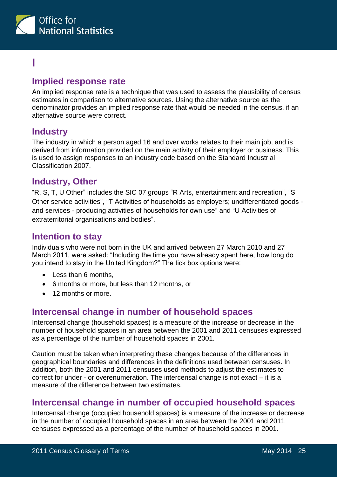

# <span id="page-24-0"></span>**I**

#### **Implied response rate**

An implied response rate is a technique that was used to assess the plausibility of census estimates in comparison to alternative sources. Using the alternative source as the denominator provides an implied response rate that would be needed in the census, if an alternative source were correct.

#### **Industry**

The industry in which a person aged 16 and over works relates to their main job, and is derived from information provided on the main activity of their employer or business. This is used to assign responses to an industry code based on the Standard Industrial Classification 2007.

#### **Industry, Other**

"R, S, T, U Other" includes the SIC 07 groups "R Arts, entertainment and recreation", "S Other service activities", "T Activities of households as employers; undifferentiated goods and services - producing activities of households for own use" and "U Activities of extraterritorial organisations and bodies".

#### **Intention to stay**

Individuals who were not born in the UK and arrived between 27 March 2010 and 27 March 2011, were asked: "Including the time you have already spent here, how long do you intend to stay in the United Kingdom?" The tick box options were:

- Less than 6 months,
- 6 months or more, but less than 12 months, or
- 12 months or more.

#### **Intercensal change in number of household spaces**

Intercensal change (household spaces) is a measure of the increase or decrease in the number of household spaces in an area between the 2001 and 2011 censuses expressed as a percentage of the number of household spaces in 2001.

Caution must be taken when interpreting these changes because of the differences in geographical boundaries and differences in the definitions used between censuses. In addition, both the 2001 and 2011 censuses used methods to adjust the estimates to correct for under - or overenumeration. The intercensal change is not exact – it is a measure of the difference between two estimates.

#### **Intercensal change in number of occupied household spaces**

Intercensal change (occupied household spaces) is a measure of the increase or decrease in the number of occupied household spaces in an area between the 2001 and 2011 censuses expressed as a percentage of the number of household spaces in 2001.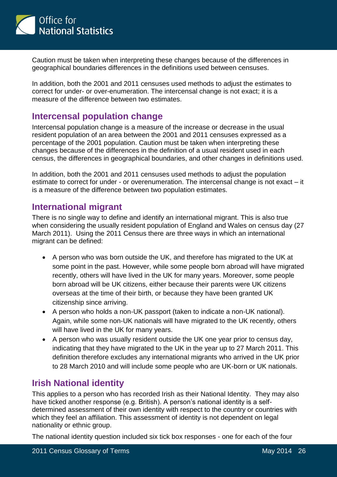

Caution must be taken when interpreting these changes because of the differences in geographical boundaries differences in the definitions used between censuses.

In addition, both the 2001 and 2011 censuses used methods to adjust the estimates to correct for under- or over-enumeration. The intercensal change is not exact; it is a measure of the difference between two estimates.

#### **Intercensal population change**

Intercensal population change is a measure of the increase or decrease in the usual resident population of an area between the 2001 and 2011 censuses expressed as a percentage of the 2001 population. Caution must be taken when interpreting these changes because of the differences in the definition of a usual resident used in each census, the differences in geographical boundaries, and other changes in definitions used.

In addition, both the 2001 and 2011 censuses used methods to adjust the population estimate to correct for under - or overenumeration. The intercensal change is not exact – it is a measure of the difference between two population estimates.

#### **International migrant**

There is no single way to define and identify an international migrant. This is also true when considering the usually resident population of England and Wales on census day (27 March 2011). Using the 2011 Census there are three ways in which an international migrant can be defined:

- A person who was born outside the UK, and therefore has migrated to the UK at some point in the past. However, while some people born abroad will have migrated recently, others will have lived in the UK for many years. Moreover, some people born abroad will be UK citizens, either because their parents were UK citizens overseas at the time of their birth, or because they have been granted UK citizenship since arriving.
- A person who holds a non-UK passport (taken to indicate a non-UK national). Again, while some non-UK nationals will have migrated to the UK recently, others will have lived in the UK for many years.
- A person who was usually resident outside the UK one year prior to census day, indicating that they have migrated to the UK in the year up to 27 March 2011. This definition therefore excludes any international migrants who arrived in the UK prior to 28 March 2010 and will include some people who are UK-born or UK nationals.

#### **Irish National identity**

This applies to a person who has recorded Irish as their National Identity. They may also have ticked another response (e.g. British). A person's national identity is a selfdetermined assessment of their own identity with respect to the country or countries with which they feel an affiliation. This assessment of identity is not dependent on legal nationality or ethnic group.

The national identity question included six tick box responses - one for each of the four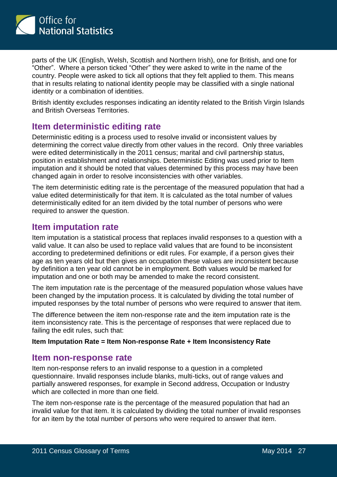

parts of the UK (English, Welsh, Scottish and Northern Irish), one for British, and one for "Other". Where a person ticked "Other" they were asked to write in the name of the country. People were asked to tick all options that they felt applied to them. This means that in results relating to national identity people may be classified with a single national identity or a combination of identities.

British identity excludes responses indicating an identity related to the British Virgin Islands and British Overseas Territories.

# **Item deterministic editing rate**

Deterministic editing is a process used to resolve invalid or inconsistent values by determining the correct value directly from other values in the record. Only three variables were edited deterministically in the 2011 census; marital and civil partnership status, position in establishment and relationships. Deterministic Editing was used prior to Item imputation and it should be noted that values determined by this process may have been changed again in order to resolve inconsistencies with other variables.

The item deterministic editing rate is the percentage of the measured population that had a value edited deterministically for that item. It is calculated as the total number of values deterministically edited for an item divided by the total number of persons who were required to answer the question.

#### **Item imputation rate**

Item imputation is a statistical process that replaces invalid responses to a question with a valid value. It can also be used to replace valid values that are found to be inconsistent according to predetermined definitions or edit rules. For example, if a person gives their age as ten years old but then gives an occupation these values are inconsistent because by definition a ten year old cannot be in employment. Both values would be marked for imputation and one or both may be amended to make the record consistent.

The item imputation rate is the percentage of the measured population whose values have been changed by the imputation process. It is calculated by dividing the total number of imputed responses by the total number of persons who were required to answer that item.

The difference between the item non-response rate and the item imputation rate is the item inconsistency rate. This is the percentage of responses that were replaced due to failing the edit rules, such that:

#### **Item Imputation Rate = Item Non-response Rate + Item Inconsistency Rate**

#### **Item non-response rate**

Item non-response refers to an invalid response to a question in a completed questionnaire. Invalid responses include blanks, multi-ticks, out of range values and partially answered responses, for example in Second address, Occupation or Industry which are collected in more than one field.

The item non-response rate is the percentage of the measured population that had an invalid value for that item. It is calculated by dividing the total number of invalid responses for an item by the total number of persons who were required to answer that item.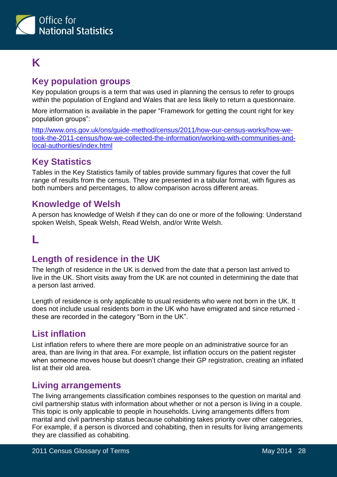

# <span id="page-27-0"></span>**K**

# **Key population groups**

Key population groups is a term that was used in planning the census to refer to groups within the population of England and Wales that are less likely to return a questionnaire.

More information is available in the paper "Framework for getting the count right for key population groups":

[http://www.ons.gov.uk/ons/guide-method/census/2011/how-our-census-works/how-we](http://www.ons.gov.uk/ons/guide-method/census/2011/how-our-census-works/how-we-took-the-2011-census/how-we-collected-the-information/working-with-communities-and-local-authorities/index.html)[took-the-2011-census/how-we-collected-the-information/working-with-communities-and](http://www.ons.gov.uk/ons/guide-method/census/2011/how-our-census-works/how-we-took-the-2011-census/how-we-collected-the-information/working-with-communities-and-local-authorities/index.html)[local-authorities/index.html](http://www.ons.gov.uk/ons/guide-method/census/2011/how-our-census-works/how-we-took-the-2011-census/how-we-collected-the-information/working-with-communities-and-local-authorities/index.html)

# **Key Statistics**

Tables in the Key Statistics family of tables provide summary figures that cover the full range of results from the census. They are presented in a tabular format, with figures as both numbers and percentages, to allow comparison across different areas.

#### **Knowledge of Welsh**

A person has knowledge of Welsh if they can do one or more of the following: Understand spoken Welsh, Speak Welsh, Read Welsh, and/or Write Welsh.

# <span id="page-27-1"></span>**L**

#### **Length of residence in the UK**

The length of residence in the UK is derived from the date that a person last arrived to live in the UK. Short visits away from the UK are not counted in determining the date that a person last arrived.

Length of residence is only applicable to usual residents who were not born in the UK. It does not include usual residents born in the UK who have emigrated and since returned these are recorded in the category "Born in the UK".

#### **List inflation**

List inflation refers to where there are more people on an administrative source for an area, than are living in that area. For example, list inflation occurs on the patient register when someone moves house but doesn't change their GP registration, creating an inflated list at their old area.

#### **Living arrangements**

The living arrangements classification combines responses to the question on marital and civil partnership status with information about whether or not a person is living in a couple. This topic is only applicable to people in households. Living arrangements differs from marital and civil partnership status because cohabiting takes priority over other categories. For example, if a person is divorced and cohabiting, then in results for living arrangements they are classified as cohabiting.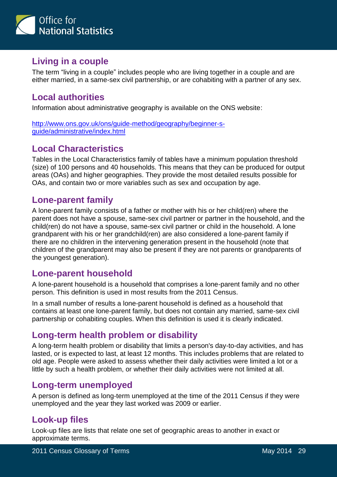

# **Living in a couple**

The term "living in a couple" includes people who are living together in a couple and are either married, in a same-sex civil partnership, or are cohabiting with a partner of any sex.

# **Local authorities**

Information about administrative geography is available on the ONS website:

[http://www.ons.gov.uk/ons/guide-method/geography/beginner-s](http://www.ons.gov.uk/ons/guide-method/geography/beginner-s-guide/administrative/index.html)[guide/administrative/index.html](http://www.ons.gov.uk/ons/guide-method/geography/beginner-s-guide/administrative/index.html)

# **Local Characteristics**

Tables in the Local Characteristics family of tables have a minimum population threshold (size) of 100 persons and 40 households. This means that they can be produced for output areas (OAs) and higher geographies. They provide the most detailed results possible for OAs, and contain two or more variables such as sex and occupation by age.

#### **Lone-parent family**

A lone-parent family consists of a father or mother with his or her child(ren) where the parent does not have a spouse, same-sex civil partner or partner in the household, and the child(ren) do not have a spouse, same-sex civil partner or child in the household. A lone grandparent with his or her grandchild(ren) are also considered a lone-parent family if there are no children in the intervening generation present in the household (note that children of the grandparent may also be present if they are not parents or grandparents of the youngest generation).

#### **Lone-parent household**

A lone-parent household is a household that comprises a lone-parent family and no other person. This definition is used in most results from the 2011 Census.

In a small number of results a lone-parent household is defined as a household that contains at least one lone-parent family, but does not contain any married, same-sex civil partnership or cohabiting couples. When this definition is used it is clearly indicated.

# **Long-term health problem or disability**

A long-term health problem or disability that limits a person's day-to-day activities, and has lasted, or is expected to last, at least 12 months. This includes problems that are related to old age. People were asked to assess whether their daily activities were limited a lot or a little by such a health problem, or whether their daily activities were not limited at all.

#### **Long-term unemployed**

A person is defined as long-term unemployed at the time of the 2011 Census if they were unemployed and the year they last worked was 2009 or earlier.

# **Look-up files**

Look-up files are lists that relate one set of geographic areas to another in exact or approximate terms.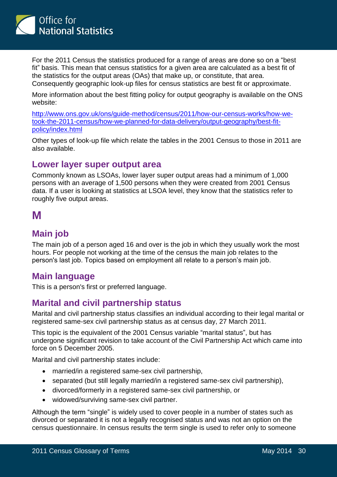

For the 2011 Census the statistics produced for a range of areas are done so on a "best fit" basis. This mean that census statistics for a given area are calculated as a best fit of the statistics for the output areas (OAs) that make up, or constitute, that area. Consequently geographic look-up files for census statistics are best fit or approximate.

More information about the best fitting policy for output geography is available on the ONS website:

[http://www.ons.gov.uk/ons/guide-method/census/2011/how-our-census-works/how-we](http://www.ons.gov.uk/ons/guide-method/census/2011/how-our-census-works/how-we-took-the-2011-census/how-we-planned-for-data-delivery/output-geography/best-fit-policy/index.html)[took-the-2011-census/how-we-planned-for-data-delivery/output-geography/best-fit](http://www.ons.gov.uk/ons/guide-method/census/2011/how-our-census-works/how-we-took-the-2011-census/how-we-planned-for-data-delivery/output-geography/best-fit-policy/index.html)[policy/index.html](http://www.ons.gov.uk/ons/guide-method/census/2011/how-our-census-works/how-we-took-the-2011-census/how-we-planned-for-data-delivery/output-geography/best-fit-policy/index.html)

Other types of look-up file which relate the tables in the 2001 Census to those in 2011 are also available.

#### **Lower layer super output area**

Commonly known as LSOAs, lower layer super output areas had a minimum of 1,000 persons with an average of 1,500 persons when they were created from 2001 Census data. If a user is looking at statistics at LSOA level, they know that the statistics refer to roughly five output areas.

# <span id="page-29-0"></span>**M**

#### **Main job**

The main job of a person aged 16 and over is the job in which they usually work the most hours. For people not working at the time of the census the main job relates to the person's last job. Topics based on employment all relate to a person's main job.

#### **Main language**

This is a person's first or preferred language.

#### **Marital and civil partnership status**

Marital and civil partnership status classifies an individual according to their legal marital or registered same-sex civil partnership status as at census day, 27 March 2011.

This topic is the equivalent of the 2001 Census variable "marital status", but has undergone significant revision to take account of the Civil Partnership Act which came into force on 5 December 2005.

Marital and civil partnership states include:

- married/in a registered same-sex civil partnership,
- separated (but still legally married/in a registered same-sex civil partnership),
- divorced/formerly in a registered same-sex civil partnership, or
- widowed/surviving same-sex civil partner.

Although the term "single" is widely used to cover people in a number of states such as divorced or separated it is not a legally recognised status and was not an option on the census questionnaire. In census results the term single is used to refer only to someone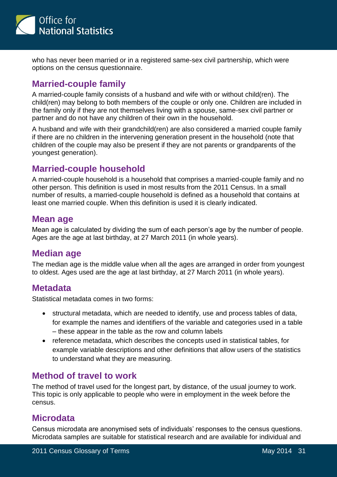

who has never been married or in a registered same-sex civil partnership, which were options on the census questionnaire.

### **Married-couple family**

A married-couple family consists of a husband and wife with or without child(ren). The child(ren) may belong to both members of the couple or only one. Children are included in the family only if they are not themselves living with a spouse, same-sex civil partner or partner and do not have any children of their own in the household.

A husband and wife with their grandchild(ren) are also considered a married couple family if there are no children in the intervening generation present in the household (note that children of the couple may also be present if they are not parents or grandparents of the youngest generation).

#### **Married-couple household**

A married-couple household is a household that comprises a married-couple family and no other person. This definition is used in most results from the 2011 Census. In a small number of results, a married-couple household is defined as a household that contains at least one married couple. When this definition is used it is clearly indicated.

#### **Mean age**

Mean age is calculated by dividing the sum of each person's age by the number of people. Ages are the age at last birthday, at 27 March 2011 (in whole years).

#### **Median age**

The median age is the middle value when all the ages are arranged in order from youngest to oldest. Ages used are the age at last birthday, at 27 March 2011 (in whole years).

#### **Metadata**

Statistical metadata comes in two forms:

- structural metadata, which are needed to identify, use and process tables of data, for example the names and identifiers of the variable and categories used in a table – these appear in the table as the row and column labels
- reference metadata, which describes the concepts used in statistical tables, for example variable descriptions and other definitions that allow users of the statistics to understand what they are measuring.

#### **Method of travel to work**

The method of travel used for the longest part, by distance, of the usual journey to work. This topic is only applicable to people who were in employment in the week before the census.

#### **Microdata**

Census microdata are anonymised sets of individuals' responses to the census questions. Microdata samples are suitable for statistical research and are available for individual and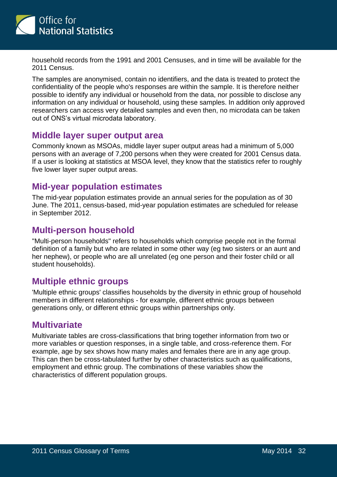

household records from the 1991 and 2001 Censuses, and in time will be available for the 2011 Census.

The samples are anonymised, contain no identifiers, and the data is treated to protect the confidentiality of the people who's responses are within the sample. It is therefore neither possible to identify any individual or household from the data, nor possible to disclose any information on any individual or household, using these samples. In addition only approved researchers can access very detailed samples and even then, no microdata can be taken out of ONS's virtual microdata laboratory.

#### **Middle layer super output area**

Commonly known as MSOAs, middle layer super output areas had a minimum of 5,000 persons with an average of 7,200 persons when they were created for 2001 Census data. If a user is looking at statistics at MSOA level, they know that the statistics refer to roughly five lower layer super output areas.

#### **Mid-year population estimates**

The mid-year population estimates provide an annual series for the population as of 30 June. The 2011, census-based, mid-year population estimates are scheduled for release in September 2012.

#### **Multi-person household**

"Multi-person households" refers to households which comprise people not in the formal definition of a family but who are related in some other way (eg two sisters or an aunt and her nephew), or people who are all unrelated (eg one person and their foster child or all student households).

#### **Multiple ethnic groups**

'Multiple ethnic groups' classifies households by the diversity in ethnic group of household members in different relationships - for example, different ethnic groups between generations only, or different ethnic groups within partnerships only.

#### **Multivariate**

<span id="page-31-0"></span>Multivariate tables are cross-classifications that bring together information from two or more variables or question responses, in a single table, and cross-reference them. For example, age by sex shows how many males and females there are in any age group. This can then be cross-tabulated further by other characteristics such as qualifications, employment and ethnic group. The combinations of these variables show the characteristics of different population groups.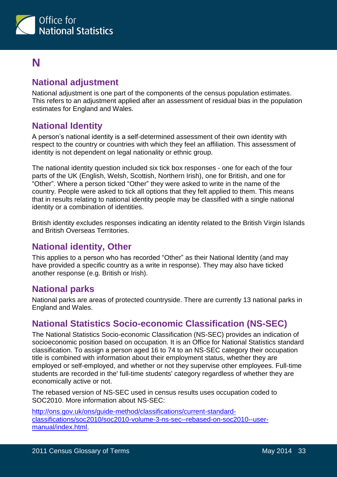

# **N**

# **National adjustment**

National adjustment is one part of the components of the census population estimates. This refers to an adjustment applied after an assessment of residual bias in the population estimates for England and Wales.

#### **National Identity**

A person's national identity is a self-determined assessment of their own identity with respect to the country or countries with which they feel an affiliation. This assessment of identity is not dependent on legal nationality or ethnic group.

The national identity question included six tick box responses - one for each of the four parts of the UK (English, Welsh, Scottish, Northern Irish), one for British, and one for "Other". Where a person ticked "Other" they were asked to write in the name of the country. People were asked to tick all options that they felt applied to them. This means that in results relating to national identity people may be classified with a single national identity or a combination of identities.

British identity excludes responses indicating an identity related to the British Virgin Islands and British Overseas Territories.

#### **National identity, Other**

This applies to a person who has recorded "Other" as their National Identity (and may have provided a specific country as a write in response). They may also have ticked another response (e.g. British or Irish).

#### **National parks**

National parks are areas of protected countryside. There are currently 13 national parks in England and Wales.

#### **National Statistics Socio-economic Classification (NS-SEC)**

The National Statistics Socio-economic Classification (NS-SEC) provides an indication of socioeconomic position based on occupation. It is an Office for National Statistics standard classification. To assign a person aged 16 to 74 to an NS-SEC category their occupation title is combined with information about their employment status, whether they are employed or self-employed, and whether or not they supervise other employees. Full-time students are recorded in the' full-time students' category regardless of whether they are economically active or not.

The rebased version of NS-SEC used in census results uses occupation coded to SOC2010. More information about NS-SEC:

[http://ons.gov.uk/ons/guide-method/classifications/current-standard](http://ons.gov.uk/ons/guide-method/classifications/current-standard-classifications/soc2010/soc2010-volume-3-ns-sec--rebased-on-soc2010--user-manual/index.html)[classifications/soc2010/soc2010-volume-3-ns-sec--rebased-on-soc2010--user](http://ons.gov.uk/ons/guide-method/classifications/current-standard-classifications/soc2010/soc2010-volume-3-ns-sec--rebased-on-soc2010--user-manual/index.html)[manual/index.html.](http://ons.gov.uk/ons/guide-method/classifications/current-standard-classifications/soc2010/soc2010-volume-3-ns-sec--rebased-on-soc2010--user-manual/index.html)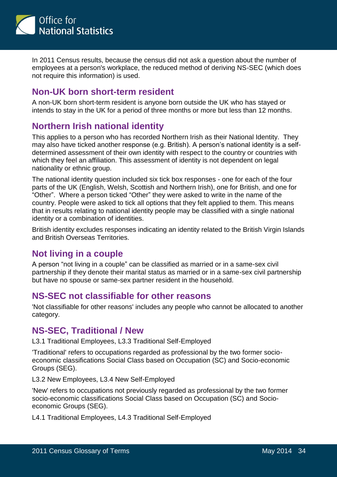

In 2011 Census results, because the census did not ask a question about the number of employees at a person's workplace, the reduced method of deriving NS-SEC (which does not require this information) is used.

#### **Non-UK born short-term resident**

A non-UK born short-term resident is anyone born outside the UK who has stayed or intends to stay in the UK for a period of three months or more but less than 12 months.

# **Northern Irish national identity**

This applies to a person who has recorded Northern Irish as their National Identity. They may also have ticked another response (e.g. British). A person's national identity is a selfdetermined assessment of their own identity with respect to the country or countries with which they feel an affiliation. This assessment of identity is not dependent on legal nationality or ethnic group.

The national identity question included six tick box responses - one for each of the four parts of the UK (English, Welsh, Scottish and Northern Irish), one for British, and one for "Other". Where a person ticked "Other" they were asked to write in the name of the country. People were asked to tick all options that they felt applied to them. This means that in results relating to national identity people may be classified with a single national identity or a combination of identities.

British identity excludes responses indicating an identity related to the British Virgin Islands and British Overseas Territories.

#### **Not living in a couple**

A person "not living in a couple" can be classified as married or in a same-sex civil partnership if they denote their marital status as married or in a same-sex civil partnership but have no spouse or same-sex partner resident in the household.

#### **NS-SEC not classifiable for other reasons**

'Not classifiable for other reasons' includes any people who cannot be allocated to another category.

#### **NS-SEC, Traditional / New**

L3.1 Traditional Employees, L3.3 Traditional Self-Employed

'Traditional' refers to occupations regarded as professional by the two former socioeconomic classifications Social Class based on Occupation (SC) and Socio-economic Groups (SEG).

L3.2 New Employees, L3.4 New Self-Employed

'New' refers to occupations not previously regarded as professional by the two former socio-economic classifications Social Class based on Occupation (SC) and Socioeconomic Groups (SEG).

L4.1 Traditional Employees, L4.3 Traditional Self-Employed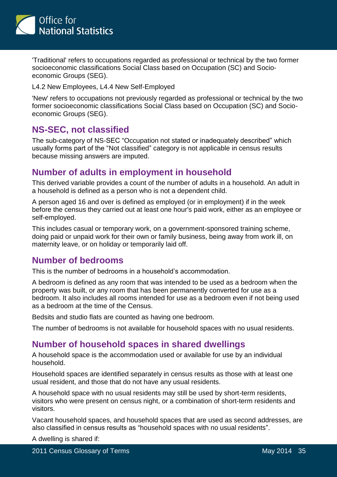

'Traditional' refers to occupations regarded as professional or technical by the two former socioeconomic classifications Social Class based on Occupation (SC) and Socioeconomic Groups (SEG).

L4.2 New Employees, L4.4 New Self-Employed

'New' refers to occupations not previously regarded as professional or technical by the two former socioeconomic classifications Social Class based on Occupation (SC) and Socioeconomic Groups (SEG).

#### **NS-SEC, not classified**

The sub-category of NS-SEC "Occupation not stated or inadequately described" which usually forms part of the "Not classified" category is not applicable in census results because missing answers are imputed.

#### **Number of adults in employment in household**

This derived variable provides a count of the number of adults in a household. An adult in a household is defined as a person who is not a dependent child.

A person aged 16 and over is defined as employed (or in employment) if in the week before the census they carried out at least one hour's paid work, either as an employee or self-employed.

This includes casual or temporary work, on a government-sponsored training scheme, doing paid or unpaid work for their own or family business, being away from work ill, on maternity leave, or on holiday or temporarily laid off.

#### **Number of bedrooms**

This is the number of bedrooms in a household's accommodation.

A bedroom is defined as any room that was intended to be used as a bedroom when the property was built, or any room that has been permanently converted for use as a bedroom. It also includes all rooms intended for use as a bedroom even if not being used as a bedroom at the time of the Census.

Bedsits and studio flats are counted as having one bedroom.

The number of bedrooms is not available for household spaces with no usual residents.

#### **Number of household spaces in shared dwellings**

A household space is the accommodation used or available for use by an individual household.

Household spaces are identified separately in census results as those with at least one usual resident, and those that do not have any usual residents.

A household space with no usual residents may still be used by short-term residents, visitors who were present on census night, or a combination of short-term residents and visitors.

Vacant household spaces, and household spaces that are used as second addresses, are also classified in census results as "household spaces with no usual residents".

A dwelling is shared if: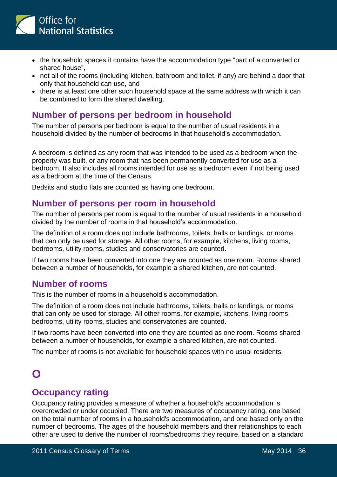

- the household spaces it contains have the accommodation type "part of a converted or shared house",
- not all of the rooms (including kitchen, bathroom and toilet, if any) are behind a door that only that household can use, and
- there is at least one other such household space at the same address with which it can be combined to form the shared dwelling.

#### **Number of persons per bedroom in household**

The number of persons per bedroom is equal to the number of usual residents in a household divided by the number of bedrooms in that household's accommodation.

A bedroom is defined as any room that was intended to be used as a bedroom when the property was built, or any room that has been permanently converted for use as a bedroom. It also includes all rooms intended for use as a bedroom even if not being used as a bedroom at the time of the Census.

Bedsits and studio flats are counted as having one bedroom.

#### **Number of persons per room in household**

The number of persons per room is equal to the number of usual residents in a household divided by the number of rooms in that household's accommodation.

The definition of a room does not include bathrooms, toilets, halls or landings, or rooms that can only be used for storage. All other rooms, for example, kitchens, living rooms, bedrooms, utility rooms, studies and conservatories are counted.

If two rooms have been converted into one they are counted as one room. Rooms shared between a number of households, for example a shared kitchen, are not counted.

#### **Number of rooms**

This is the number of rooms in a household's accommodation.

The definition of a room does not include bathrooms, toilets, halls or landings, or rooms that can only be used for storage. All other rooms, for example, kitchens, living rooms, bedrooms, utility rooms, studies and conservatories are counted.

If two rooms have been converted into one they are counted as one room. Rooms shared between a number of households, for example a shared kitchen, are not counted.

The number of rooms is not available for household spaces with no usual residents.

#### **Occupancy rating**

Occupancy rating provides a measure of whether a household's accommodation is overcrowded or under occupied. There are two measures of occupancy rating, one based on the total number of rooms in a household's accommodation, and one based only on the number of bedrooms. The ages of the household members and their relationships to each other are used to derive the number of rooms/bedrooms they require, based on a standard

<span id="page-35-0"></span>**O**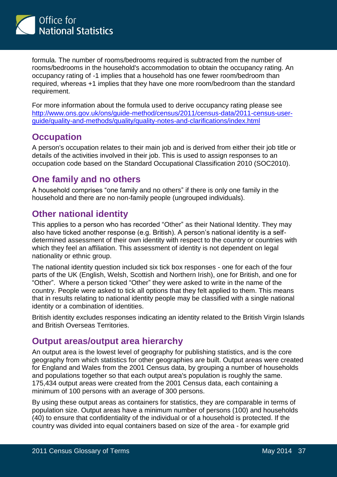

formula. The number of rooms/bedrooms required is subtracted from the number of rooms/bedrooms in the household's accommodation to obtain the occupancy rating. An occupancy rating of -1 implies that a household has one fewer room/bedroom than required, whereas +1 implies that they have one more room/bedroom than the standard requirement.

For more information about the formula used to derive occupancy rating please see [http://www.ons.gov.uk/ons/guide-method/census/2011/census-data/2011-census-user](http://www.ons.gov.uk/ons/guide-method/census/2011/census-data/2011-census-user-guide/quality-and-methods/quality/quality-notes-and-clarifications/index.html)[guide/quality-and-methods/quality/quality-notes-and-clarifications/index.html](http://www.ons.gov.uk/ons/guide-method/census/2011/census-data/2011-census-user-guide/quality-and-methods/quality/quality-notes-and-clarifications/index.html)

# **Occupation**

A person's occupation relates to their main job and is derived from either their job title or details of the activities involved in their job. This is used to assign responses to an occupation code based on the Standard Occupational Classification 2010 (SOC2010).

#### **One family and no others**

A household comprises "one family and no others" if there is only one family in the household and there are no non-family people (ungrouped individuals).

# **Other national identity**

This applies to a person who has recorded "Other" as their National Identity. They may also have ticked another response (e.g. British). A person's national identity is a selfdetermined assessment of their own identity with respect to the country or countries with which they feel an affiliation. This assessment of identity is not dependent on legal nationality or ethnic group.

The national identity question included six tick box responses - one for each of the four parts of the UK (English, Welsh, Scottish and Northern Irish), one for British, and one for "Other". Where a person ticked "Other" they were asked to write in the name of the country. People were asked to tick all options that they felt applied to them. This means that in results relating to national identity people may be classified with a single national identity or a combination of identities.

British identity excludes responses indicating an identity related to the British Virgin Islands and British Overseas Territories.

#### **Output areas/output area hierarchy**

An output area is the lowest level of geography for publishing statistics, and is the core geography from which statistics for other geographies are built. Output areas were created for England and Wales from the 2001 Census data, by grouping a number of households and populations together so that each output area's population is roughly the same. 175,434 output areas were created from the 2001 Census data, each containing a minimum of 100 persons with an average of 300 persons.

By using these output areas as containers for statistics, they are comparable in terms of population size. Output areas have a minimum number of persons (100) and households (40) to ensure that confidentiality of the individual or of a household is protected. If the country was divided into equal containers based on size of the area - for example grid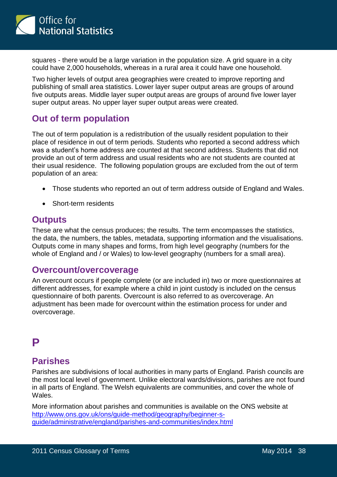

squares - there would be a large variation in the population size. A grid square in a city could have 2,000 households, whereas in a rural area it could have one household.

Two higher levels of output area geographies were created to improve reporting and publishing of small area statistics. Lower layer super output areas are groups of around five outputs areas. Middle layer super output areas are groups of around five lower layer super output areas. No upper layer super output areas were created.

#### **Out of term population**

The out of term population is a redistribution of the usually resident population to their place of residence in out of term periods. Students who reported a second address which was a student's home address are counted at that second address. Students that did not provide an out of term address and usual residents who are not students are counted at their usual residence. The following population groups are excluded from the out of term population of an area:

- Those students who reported an out of term address outside of England and Wales.
- Short-term residents

#### **Outputs**

These are what the census produces; the results. The term encompasses the statistics, the data, the numbers, the tables, metadata, supporting information and the visualisations. Outputs come in many shapes and forms, from high level geography (numbers for the whole of England and / or Wales) to low-level geography (numbers for a small area).

#### **Overcount/overcoverage**

An overcount occurs if people complete (or are included in) two or more questionnaires at different addresses, for example where a child in joint custody is included on the census questionnaire of both parents. Overcount is also referred to as overcoverage. An adjustment has been made for overcount within the estimation process for under and overcoverage.

# <span id="page-37-0"></span>**P**

#### **Parishes**

Parishes are subdivisions of local authorities in many parts of England. Parish councils are the most local level of government. Unlike electoral wards/divisions, parishes are not found in all parts of England. The Welsh equivalents are communities, and cover the whole of Wales.

More information about parishes and communities is available on the ONS website at [http://www.ons.gov.uk/ons/guide-method/geography/beginner-s](http://www.ons.gov.uk/ons/guide-method/geography/beginner-s-guide/administrative/england/parishes-and-communities/index.html)[guide/administrative/england/parishes-and-communities/index.html](http://www.ons.gov.uk/ons/guide-method/geography/beginner-s-guide/administrative/england/parishes-and-communities/index.html)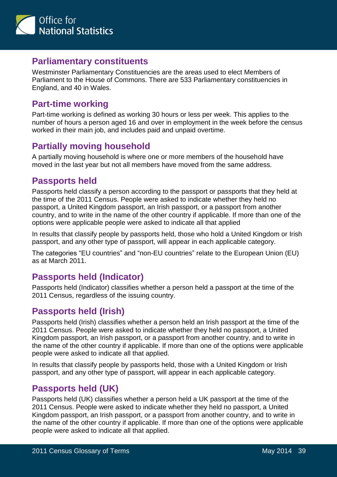

#### **Parliamentary constituents**

Westminster Parliamentary Constituencies are the areas used to elect Members of Parliament to the House of Commons. There are 533 Parliamentary constituencies in England, and 40 in Wales.

### **Part-time working**

Part-time working is defined as working 30 hours or less per week. This applies to the number of hours a person aged 16 and over in employment in the week before the census worked in their main job, and includes paid and unpaid overtime.

# **Partially moving household**

A partially moving household is where one or more members of the household have moved in the last year but not all members have moved from the same address.

#### **Passports held**

Passports held classify a person according to the passport or passports that they held at the time of the 2011 Census. People were asked to indicate whether they held no passport, a United Kingdom passport, an Irish passport, or a passport from another country, and to write in the name of the other country if applicable. If more than one of the options were applicable people were asked to indicate all that applied

In results that classify people by passports held, those who hold a United Kingdom or Irish passport, and any other type of passport, will appear in each applicable category.

The categories "EU countries" and "non-EU countries" relate to the European Union (EU) as at March 2011.

# **Passports held (Indicator)**

Passports held (Indicator) classifies whether a person held a passport at the time of the 2011 Census, regardless of the issuing country.

# **Passports held (Irish)**

Passports held (Irish) classifies whether a person held an Irish passport at the time of the 2011 Census. People were asked to indicate whether they held no passport, a United Kingdom passport, an Irish passport, or a passport from another country, and to write in the name of the other country if applicable. If more than one of the options were applicable people were asked to indicate all that applied.

In results that classify people by passports held, those with a United Kingdom or Irish passport, and any other type of passport, will appear in each applicable category.

#### **Passports held (UK)**

Passports held (UK) classifies whether a person held a UK passport at the time of the 2011 Census. People were asked to indicate whether they held no passport, a United Kingdom passport, an Irish passport, or a passport from another country, and to write in the name of the other country if applicable. If more than one of the options were applicable people were asked to indicate all that applied.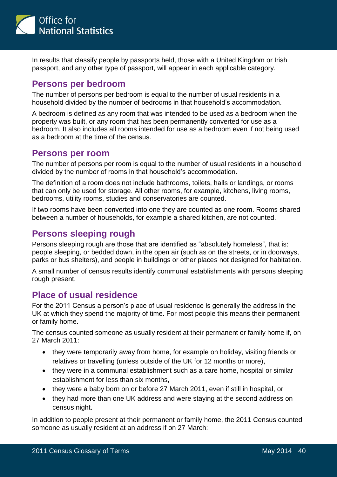

In results that classify people by passports held, those with a United Kingdom or Irish passport, and any other type of passport, will appear in each applicable category.

#### **Persons per bedroom**

The number of persons per bedroom is equal to the number of usual residents in a household divided by the number of bedrooms in that household's accommodation.

A bedroom is defined as any room that was intended to be used as a bedroom when the property was built, or any room that has been permanently converted for use as a bedroom. It also includes all rooms intended for use as a bedroom even if not being used as a bedroom at the time of the census.

#### **Persons per room**

The number of persons per room is equal to the number of usual residents in a household divided by the number of rooms in that household's accommodation.

The definition of a room does not include bathrooms, toilets, halls or landings, or rooms that can only be used for storage. All other rooms, for example, kitchens, living rooms, bedrooms, utility rooms, studies and conservatories are counted.

If two rooms have been converted into one they are counted as one room. Rooms shared between a number of households, for example a shared kitchen, are not counted.

#### **Persons sleeping rough**

Persons sleeping rough are those that are identified as "absolutely homeless", that is: people sleeping, or bedded down, in the open air (such as on the streets, or in doorways, parks or bus shelters), and people in buildings or other places not designed for habitation.

A small number of census results identify communal establishments with persons sleeping rough present.

#### **Place of usual residence**

For the 2011 Census a person's place of usual residence is generally the address in the UK at which they spend the majority of time. For most people this means their permanent or family home.

The census counted someone as usually resident at their permanent or family home if, on 27 March 2011:

- they were temporarily away from home, for example on holiday, visiting friends or relatives or travelling (unless outside of the UK for 12 months or more),
- they were in a communal establishment such as a care home, hospital or similar establishment for less than six months,
- they were a baby born on or before 27 March 2011, even if still in hospital, or
- they had more than one UK address and were staying at the second address on census night.

In addition to people present at their permanent or family home, the 2011 Census counted someone as usually resident at an address if on 27 March: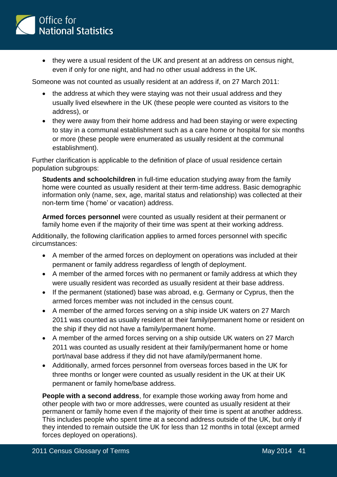

 they were a usual resident of the UK and present at an address on census night, even if only for one night, and had no other usual address in the UK.

Someone was not counted as usually resident at an address if, on 27 March 2011:

- the address at which they were staying was not their usual address and they usually lived elsewhere in the UK (these people were counted as visitors to the address), or
- they were away from their home address and had been staying or were expecting to stay in a communal establishment such as a care home or hospital for six months or more (these people were enumerated as usually resident at the communal establishment).

Further clarification is applicable to the definition of place of usual residence certain population subgroups:

**Students and schoolchildren** in full-time education studying away from the family home were counted as usually resident at their term-time address. Basic demographic information only (name, sex, age, marital status and relationship) was collected at their non-term time ('home' or vacation) address.

**Armed forces personnel** were counted as usually resident at their permanent or family home even if the majority of their time was spent at their working address.

Additionally, the following clarification applies to armed forces personnel with specific circumstances:

- A member of the armed forces on deployment on operations was included at their permanent or family address regardless of length of deployment.
- A member of the armed forces with no permanent or family address at which they were usually resident was recorded as usually resident at their base address.
- If the permanent (stationed) base was abroad, e.g. Germany or Cyprus, then the armed forces member was not included in the census count.
- A member of the armed forces serving on a ship inside UK waters on 27 March 2011 was counted as usually resident at their family/permanent home or resident on the ship if they did not have a family/permanent home.
- A member of the armed forces serving on a ship outside UK waters on 27 March 2011 was counted as usually resident at their family/permanent home or home port/naval base address if they did not have afamily/permanent home.
- Additionally, armed forces personnel from overseas forces based in the UK for three months or longer were counted as usually resident in the UK at their UK permanent or family home/base address.

**People with a second address**, for example those working away from home and other people with two or more addresses, were counted as usually resident at their permanent or family home even if the majority of their time is spent at another address. This includes people who spent time at a second address outside of the UK, but only if they intended to remain outside the UK for less than 12 months in total (except armed forces deployed on operations).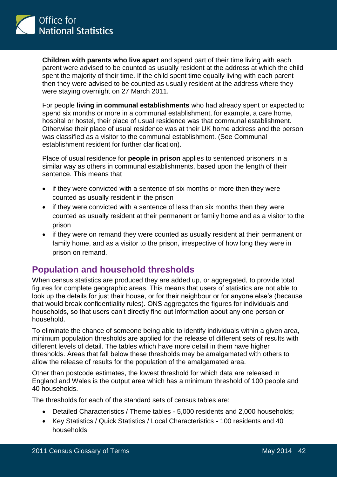

**Children with parents who live apart** and spend part of their time living with each parent were advised to be counted as usually resident at the address at which the child spent the majority of their time. If the child spent time equally living with each parent then they were advised to be counted as usually resident at the address where they were staying overnight on 27 March 2011.

For people **living in communal establishments** who had already spent or expected to spend six months or more in a communal establishment, for example, a care home, hospital or hostel, their place of usual residence was that communal establishment. Otherwise their place of usual residence was at their UK home address and the person was classified as a visitor to the communal establishment. (See Communal establishment resident for further clarification).

Place of usual residence for **people in prison** applies to sentenced prisoners in a similar way as others in communal establishments, based upon the length of their sentence. This means that

- if they were convicted with a sentence of six months or more then they were counted as usually resident in the prison
- if they were convicted with a sentence of less than six months then they were counted as usually resident at their permanent or family home and as a visitor to the prison
- if they were on remand they were counted as usually resident at their permanent or family home, and as a visitor to the prison, irrespective of how long they were in prison on remand.

#### **Population and household thresholds**

When census statistics are produced they are added up, or aggregated, to provide total figures for complete geographic areas. This means that users of statistics are not able to look up the details for just their house, or for their neighbour or for anyone else's (because that would break confidentiality rules). ONS aggregates the figures for individuals and households, so that users can't directly find out information about any one person or household.

To eliminate the chance of someone being able to identify individuals within a given area, minimum population thresholds are applied for the release of different sets of results with different levels of detail. The tables which have more detail in them have higher thresholds. Areas that fall below these thresholds may be amalgamated with others to allow the release of results for the population of the amalgamated area.

Other than postcode estimates, the lowest threshold for which data are released in England and Wales is the output area which has a minimum threshold of 100 people and 40 households.

The thresholds for each of the standard sets of census tables are:

- Detailed Characteristics / Theme tables 5,000 residents and 2,000 households;
- Key Statistics / Quick Statistics / Local Characteristics 100 residents and 40 households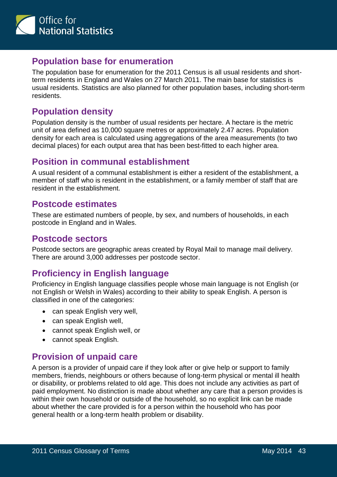

#### **Population base for enumeration**

The population base for enumeration for the 2011 Census is all usual residents and shortterm residents in England and Wales on 27 March 2011. The main base for statistics is usual residents. Statistics are also planned for other population bases, including short-term residents.

#### **Population density**

Population density is the number of usual residents per hectare. A hectare is the metric unit of area defined as 10,000 square metres or approximately 2.47 acres. Population density for each area is calculated using aggregations of the area measurements (to two decimal places) for each output area that has been best-fitted to each higher area.

#### **Position in communal establishment**

A usual resident of a communal establishment is either a resident of the establishment, a member of staff who is resident in the establishment, or a family member of staff that are resident in the establishment.

#### **Postcode estimates**

These are estimated numbers of people, by sex, and numbers of households, in each postcode in England and in Wales.

#### **Postcode sectors**

Postcode sectors are geographic areas created by Royal Mail to manage mail delivery. There are around 3,000 addresses per postcode sector.

# **Proficiency in English language**

Proficiency in English language classifies people whose main language is not English (or not English or Welsh in Wales) according to their ability to speak English. A person is classified in one of the categories:

- can speak English very well,
- can speak English well,
- cannot speak English well, or
- cannot speak English.

#### **Provision of unpaid care**

A person is a provider of unpaid care if they look after or give help or support to family members, friends, neighbours or others because of long-term physical or mental ill health or disability, or problems related to old age. This does not include any activities as part of paid employment. No distinction is made about whether any care that a person provides is within their own household or outside of the household, so no explicit link can be made about whether the care provided is for a person within the household who has poor general health or a long-term health problem or disability.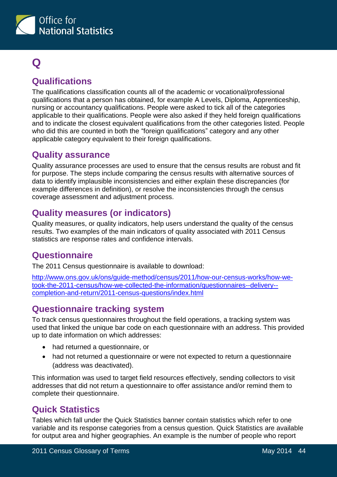

# <span id="page-43-0"></span>**Q**

# **Qualifications**

The qualifications classification counts all of the academic or vocational/professional qualifications that a person has obtained, for example A Levels, Diploma, Apprenticeship, nursing or accountancy qualifications. People were asked to tick all of the categories applicable to their qualifications. People were also asked if they held foreign qualifications and to indicate the closest equivalent qualifications from the other categories listed. People who did this are counted in both the "foreign qualifications" category and any other applicable category equivalent to their foreign qualifications.

#### **Quality assurance**

Quality assurance processes are used to ensure that the census results are robust and fit for purpose. The steps include comparing the census results with alternative sources of data to identify implausible inconsistencies and either explain these discrepancies (for example differences in definition), or resolve the inconsistencies through the census coverage assessment and adjustment process.

# **Quality measures (or indicators)**

Quality measures, or quality indicators, help users understand the quality of the census results. Two examples of the main indicators of quality associated with 2011 Census statistics are response rates and confidence intervals.

# **Questionnaire**

The 2011 Census questionnaire is available to download:

[http://www.ons.gov.uk/ons/guide-method/census/2011/how-our-census-works/how-we](http://www.ons.gov.uk/ons/guide-method/census/2011/how-our-census-works/how-we-took-the-2011-census/how-we-collected-the-information/questionnaires--delivery--completion-and-return/2011-census-questions/index.html)[took-the-2011-census/how-we-collected-the-information/questionnaires--delivery-](http://www.ons.gov.uk/ons/guide-method/census/2011/how-our-census-works/how-we-took-the-2011-census/how-we-collected-the-information/questionnaires--delivery--completion-and-return/2011-census-questions/index.html) [completion-and-return/2011-census-questions/index.html](http://www.ons.gov.uk/ons/guide-method/census/2011/how-our-census-works/how-we-took-the-2011-census/how-we-collected-the-information/questionnaires--delivery--completion-and-return/2011-census-questions/index.html)

# **Questionnaire tracking system**

To track census questionnaires throughout the field operations, a tracking system was used that linked the unique bar code on each questionnaire with an address. This provided up to date information on which addresses:

- had returned a questionnaire, or
- had not returned a questionnaire or were not expected to return a questionnaire (address was deactivated).

This information was used to target field resources effectively, sending collectors to visit addresses that did not return a questionnaire to offer assistance and/or remind them to complete their questionnaire.

# **Quick Statistics**

Tables which fall under the Quick Statistics banner contain statistics which refer to one variable and its response categories from a census question. Quick Statistics are available for output area and higher geographies. An example is the number of people who report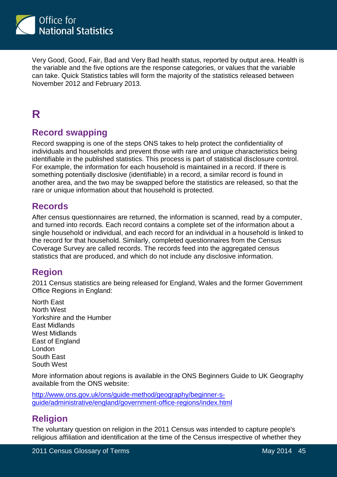

Very Good, Good, Fair, Bad and Very Bad health status, reported by output area. Health is the variable and the five options are the response categories, or values that the variable can take. Quick Statistics tables will form the majority of the statistics released between November 2012 and February 2013.

# <span id="page-44-0"></span>**R**

#### **Record swapping**

Record swapping is one of the steps ONS takes to help protect the confidentiality of individuals and households and prevent those with rare and unique characteristics being identifiable in the published statistics. This process is part of statistical disclosure control. For example, the information for each household is maintained in a record. If there is something potentially disclosive (identifiable) in a record, a similar record is found in another area, and the two may be swapped before the statistics are released, so that the rare or unique information about that household is protected.

#### **Records**

After census questionnaires are returned, the information is scanned, read by a computer, and turned into records. Each record contains a complete set of the information about a single household or individual, and each record for an individual in a household is linked to the record for that household. Similarly, completed questionnaires from the Census Coverage Survey are called records. The records feed into the aggregated census statistics that are produced, and which do not include any disclosive information.

#### **Region**

2011 Census statistics are being released for England, Wales and the former Government Office Regions in England:

North East North West Yorkshire and the Humber East Midlands West Midlands East of England London South East South West

More information about regions is available in the ONS Beginners Guide to UK Geography available from the ONS website:

[http://www.ons.gov.uk/ons/guide-method/geography/beginner-s](http://www.ons.gov.uk/ons/guide-method/geography/beginner-s-guide/administrative/england/government-office-regions/index.html)[guide/administrative/england/government-office-regions/index.html](http://www.ons.gov.uk/ons/guide-method/geography/beginner-s-guide/administrative/england/government-office-regions/index.html)

#### **Religion**

The voluntary question on religion in the 2011 Census was intended to capture people's religious affiliation and identification at the time of the Census irrespective of whether they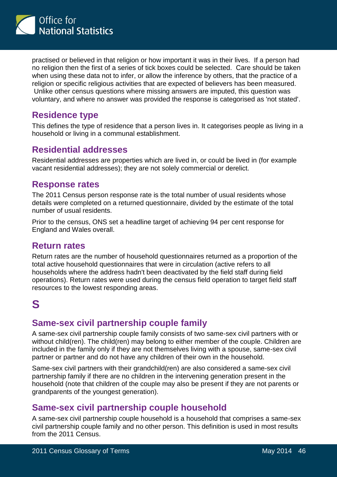

practised or believed in that religion or how important it was in their lives. If a person had no religion then the first of a series of tick boxes could be selected. Care should be taken when using these data not to infer, or allow the inference by others, that the practice of a religion or specific religious activities that are expected of believers has been measured. Unlike other census questions where missing answers are imputed, this question was voluntary, and where no answer was provided the response is categorised as 'not stated'.

### **Residence type**

This defines the type of residence that a person lives in. It categorises people as living in a household or living in a communal establishment.

# **Residential addresses**

Residential addresses are properties which are lived in, or could be lived in (for example vacant residential addresses); they are not solely commercial or derelict.

#### **Response rates**

The 2011 Census person response rate is the total number of usual residents whose details were completed on a returned questionnaire, divided by the estimate of the total number of usual residents.

Prior to the census, ONS set a headline target of achieving 94 per cent response for England and Wales overall.

#### **Return rates**

Return rates are the number of household questionnaires returned as a proportion of the total active household questionnaires that were in circulation (active refers to all households where the address hadn't been deactivated by the field staff during field operations). Return rates were used during the census field operation to target field staff resources to the lowest responding areas.

# <span id="page-45-0"></span>**S**

#### **Same-sex civil partnership couple family**

A same-sex civil partnership couple family consists of two same-sex civil partners with or without child(ren). The child(ren) may belong to either member of the couple. Children are included in the family only if they are not themselves living with a spouse, same-sex civil partner or partner and do not have any children of their own in the household.

Same-sex civil partners with their grandchild(ren) are also considered a same-sex civil partnership family if there are no children in the intervening generation present in the household (note that children of the couple may also be present if they are not parents or grandparents of the youngest generation).

#### **Same-sex civil partnership couple household**

A same-sex civil partnership couple household is a household that comprises a same-sex civil partnership couple family and no other person. This definition is used in most results from the 2011 Census.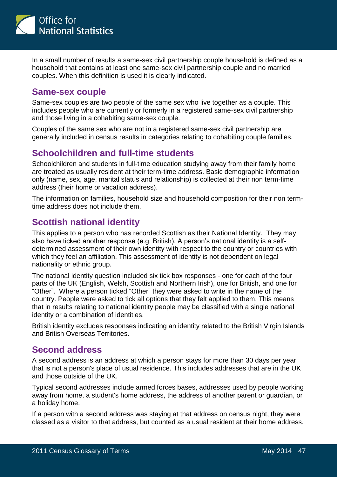

In a small number of results a same-sex civil partnership couple household is defined as a household that contains at least one same-sex civil partnership couple and no married couples. When this definition is used it is clearly indicated.

#### **Same-sex couple**

Same-sex couples are two people of the same sex who live together as a couple. This includes people who are currently or formerly in a registered same-sex civil partnership and those living in a cohabiting same-sex couple.

Couples of the same sex who are not in a registered same-sex civil partnership are generally included in census results in categories relating to cohabiting couple families.

#### **Schoolchildren and full-time students**

Schoolchildren and students in full-time education studying away from their family home are treated as usually resident at their term-time address. Basic demographic information only (name, sex, age, marital status and relationship) is collected at their non term-time address (their home or vacation address).

The information on families, household size and household composition for their non termtime address does not include them.

#### **Scottish national identity**

This applies to a person who has recorded Scottish as their National Identity. They may also have ticked another response (e.g. British). A person's national identity is a selfdetermined assessment of their own identity with respect to the country or countries with which they feel an affiliation. This assessment of identity is not dependent on legal nationality or ethnic group.

The national identity question included six tick box responses - one for each of the four parts of the UK (English, Welsh, Scottish and Northern Irish), one for British, and one for "Other". Where a person ticked "Other" they were asked to write in the name of the country. People were asked to tick all options that they felt applied to them. This means that in results relating to national identity people may be classified with a single national identity or a combination of identities.

British identity excludes responses indicating an identity related to the British Virgin Islands and British Overseas Territories.

#### **Second address**

A second address is an address at which a person stays for more than 30 days per year that is not a person's place of usual residence. This includes addresses that are in the UK and those outside of the UK.

Typical second addresses include armed forces bases, addresses used by people working away from home, a student's home address, the address of another parent or guardian, or a holiday home.

If a person with a second address was staying at that address on census night, they were classed as a visitor to that address, but counted as a usual resident at their home address.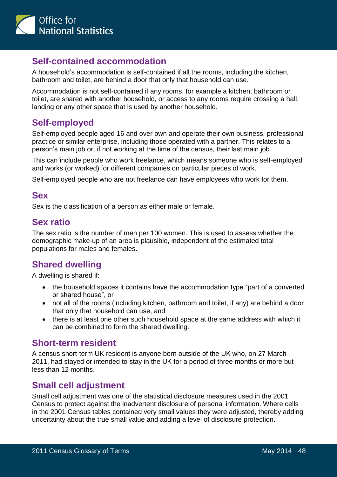

#### **Self-contained accommodation**

A household's accommodation is self-contained if all the rooms, including the kitchen, bathroom and toilet, are behind a door that only that household can use.

Accommodation is not self-contained if any rooms, for example a kitchen, bathroom or toilet, are shared with another household, or access to any rooms require crossing a hall, landing or any other space that is used by another household.

#### **Self-employed**

Self-employed people aged 16 and over own and operate their own business, professional practice or similar enterprise, including those operated with a partner. This relates to a person's main job or, if not working at the time of the census, their last main job.

This can include people who work freelance, which means someone who is self-employed and works (or worked) for different companies on particular pieces of work.

Self-employed people who are not freelance can have employees who work for them.

#### **Sex**

Sex is the classification of a person as either male or female.

#### **Sex ratio**

The sex ratio is the number of men per 100 women. This is used to assess whether the demographic make-up of an area is plausible, independent of the estimated total populations for males and females.

#### **Shared dwelling**

A dwelling is shared if:

- the household spaces it contains have the accommodation type "part of a converted or shared house", or
- not all of the rooms (including kitchen, bathroom and toilet, if any) are behind a door that only that household can use, and
- there is at least one other such household space at the same address with which it can be combined to form the shared dwelling.

#### **Short-term resident**

A census short-term UK resident is anyone born outside of the UK who, on 27 March 2011, had stayed or intended to stay in the UK for a period of three months or more but less than 12 months.

#### **Small cell adjustment**

Small cell adjustment was one of the statistical disclosure measures used in the 2001 Census to protect against the inadvertent disclosure of personal information. Where cells in the 2001 Census tables contained very small values they were adjusted, thereby adding uncertainty about the true small value and adding a level of disclosure protection.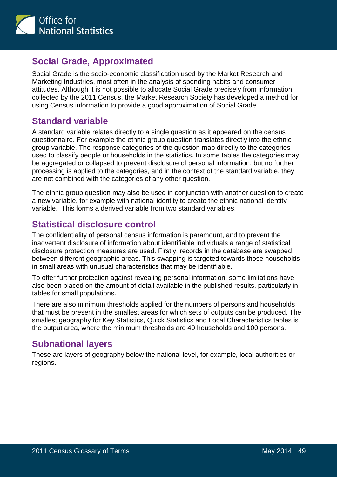

#### **Social Grade, Approximated**

Social Grade is the socio-economic classification used by the Market Research and Marketing Industries, most often in the analysis of spending habits and consumer attitudes. Although it is not possible to allocate Social Grade precisely from information collected by the 2011 Census, the Market Research Society has developed a method for using Census information to provide a good approximation of Social Grade.

#### **Standard variable**

A standard variable relates directly to a single question as it appeared on the census questionnaire. For example the ethnic group question translates directly into the ethnic group variable. The response categories of the question map directly to the categories used to classify people or households in the statistics. In some tables the categories may be aggregated or collapsed to prevent disclosure of personal information, but no further processing is applied to the categories, and in the context of the standard variable, they are not combined with the categories of any other question.

The ethnic group question may also be used in conjunction with another question to create a new variable, for example with national identity to create the ethnic national identity variable. This forms a derived variable from two standard variables.

# **Statistical disclosure control**

The confidentiality of personal census information is paramount, and to prevent the inadvertent disclosure of information about identifiable individuals a range of statistical disclosure protection measures are used. Firstly, records in the database are swapped between different geographic areas. This swapping is targeted towards those households in small areas with unusual characteristics that may be identifiable.

To offer further protection against revealing personal information, some limitations have also been placed on the amount of detail available in the published results, particularly in tables for small populations.

There are also minimum thresholds applied for the numbers of persons and households that must be present in the smallest areas for which sets of outputs can be produced. The smallest geography for Key Statistics, Quick Statistics and Local Characteristics tables is the output area, where the minimum thresholds are 40 households and 100 persons.

# **Subnational layers**

These are layers of geography below the national level, for example, local authorities or regions.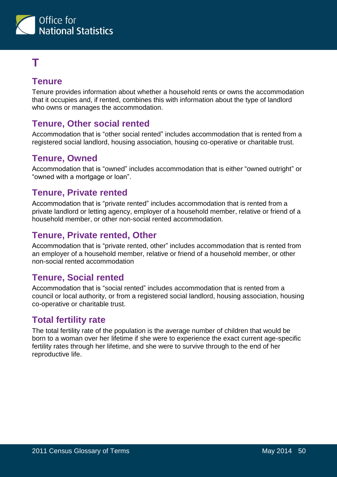

# <span id="page-49-0"></span>**T**

# **Tenure**

Tenure provides information about whether a household rents or owns the accommodation that it occupies and, if rented, combines this with information about the type of landlord who owns or manages the accommodation.

# **Tenure, Other social rented**

Accommodation that is "other social rented" includes accommodation that is rented from a registered social landlord, housing association, housing co-operative or charitable trust.

#### **Tenure, Owned**

Accommodation that is "owned" includes accommodation that is either "owned outright" or "owned with a mortgage or loan".

#### **Tenure, Private rented**

Accommodation that is "private rented" includes accommodation that is rented from a private landlord or letting agency, employer of a household member, relative or friend of a household member, or other non-social rented accommodation.

# **Tenure, Private rented, Other**

Accommodation that is "private rented, other" includes accommodation that is rented from an employer of a household member, relative or friend of a household member, or other non-social rented accommodation

#### **Tenure, Social rented**

Accommodation that is "social rented" includes accommodation that is rented from a council or local authority, or from a registered social landlord, housing association, housing co-operative or charitable trust.

#### **Total fertility rate**

The total fertility rate of the population is the average number of children that would be born to a woman over her lifetime if she were to experience the exact current age-specific fertility rates through her lifetime, and she were to survive through to the end of her reproductive life.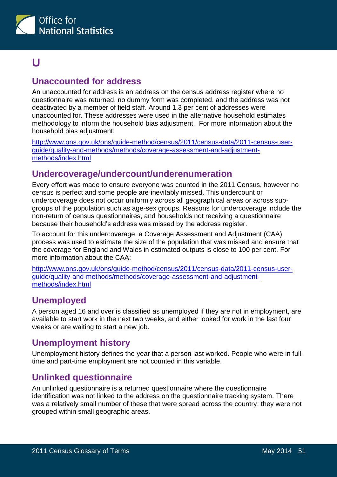

# <span id="page-50-0"></span>**U**

#### **Unaccounted for address**

An unaccounted for address is an address on the census address register where no questionnaire was returned, no dummy form was completed, and the address was not deactivated by a member of field staff. Around 1.3 per cent of addresses were unaccounted for. These addresses were used in the alternative household estimates methodology to inform the household bias adjustment. For more information about the household bias adjustment:

[http://www.ons.gov.uk/ons/guide-method/census/2011/census-data/2011-census-user](http://www.ons.gov.uk/ons/guide-method/census/2011/census-data/2011-census-user-guide/quality-and-methods/methods/coverage-assessment-and-adjustment-methods/index.html)[guide/quality-and-methods/methods/coverage-assessment-and-adjustment](http://www.ons.gov.uk/ons/guide-method/census/2011/census-data/2011-census-user-guide/quality-and-methods/methods/coverage-assessment-and-adjustment-methods/index.html)[methods/index.html](http://www.ons.gov.uk/ons/guide-method/census/2011/census-data/2011-census-user-guide/quality-and-methods/methods/coverage-assessment-and-adjustment-methods/index.html)

#### **Undercoverage/undercount/underenumeration**

Every effort was made to ensure everyone was counted in the 2011 Census, however no census is perfect and some people are inevitably missed. This undercount or undercoverage does not occur uniformly across all geographical areas or across subgroups of the population such as age-sex groups. Reasons for undercoverage include the non-return of census questionnaires, and households not receiving a questionnaire because their household's address was missed by the address register.

To account for this undercoverage, a Coverage Assessment and Adjustment (CAA) process was used to estimate the size of the population that was missed and ensure that the coverage for England and Wales in estimated outputs is close to 100 per cent. For more information about the CAA:

[http://www.ons.gov.uk/ons/guide-method/census/2011/census-data/2011-census-user](http://www.ons.gov.uk/ons/guide-method/census/2011/census-data/2011-census-user-guide/quality-and-methods/methods/coverage-assessment-and-adjustment-methods/index.html)[guide/quality-and-methods/methods/coverage-assessment-and-adjustment](http://www.ons.gov.uk/ons/guide-method/census/2011/census-data/2011-census-user-guide/quality-and-methods/methods/coverage-assessment-and-adjustment-methods/index.html)[methods/index.html](http://www.ons.gov.uk/ons/guide-method/census/2011/census-data/2011-census-user-guide/quality-and-methods/methods/coverage-assessment-and-adjustment-methods/index.html)

#### **Unemployed**

A person aged 16 and over is classified as unemployed if they are not in employment, are available to start work in the next two weeks, and either looked for work in the last four weeks or are waiting to start a new job.

#### **Unemployment history**

Unemployment history defines the year that a person last worked. People who were in fulltime and part-time employment are not counted in this variable.

#### **Unlinked questionnaire**

An unlinked questionnaire is a returned questionnaire where the questionnaire identification was not linked to the address on the questionnaire tracking system. There was a relatively small number of these that were spread across the country; they were not grouped within small geographic areas.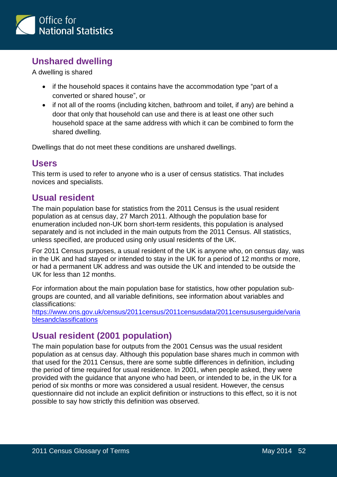

# **Unshared dwelling**

A dwelling is shared

- if the household spaces it contains have the accommodation type "part of a converted or shared house", or
- if not all of the rooms (including kitchen, bathroom and toilet, if any) are behind a door that only that household can use and there is at least one other such household space at the same address with which it can be combined to form the shared dwelling.

Dwellings that do not meet these conditions are unshared dwellings.

#### **Users**

This term is used to refer to anyone who is a user of census statistics. That includes novices and specialists.

#### **Usual resident**

The main population base for statistics from the 2011 Census is the usual resident population as at census day, 27 March 2011. Although the population base for enumeration included non-UK born short-term residents, this population is analysed separately and is not included in the main outputs from the 2011 Census. All statistics, unless specified, are produced using only usual residents of the UK.

For 2011 Census purposes, a usual resident of the UK is anyone who, on census day, was in the UK and had stayed or intended to stay in the UK for a period of 12 months or more, or had a permanent UK address and was outside the UK and intended to be outside the UK for less than 12 months.

For information about the main population base for statistics, how other population subgroups are counted, and all variable definitions, see information about variables and classifications:

[https://www.ons.gov.uk/census/2011census/2011censusdata/2011censususerguide/varia](https://www.ons.gov.uk/census/2011census/2011censusdata/2011censususerguide/variablesandclassifications) **[blesandclassifications](https://www.ons.gov.uk/census/2011census/2011censusdata/2011censususerguide/variablesandclassifications)** 

# **Usual resident (2001 population)**

The main population base for outputs from the 2001 Census was the usual resident population as at census day. Although this population base shares much in common with that used for the 2011 Census, there are some subtle differences in definition, including the period of time required for usual residence. In 2001, when people asked, they were provided with the guidance that anyone who had been, or intended to be, in the UK for a period of six months or more was considered a usual resident. However, the census questionnaire did not include an explicit definition or instructions to this effect, so it is not possible to say how strictly this definition was observed.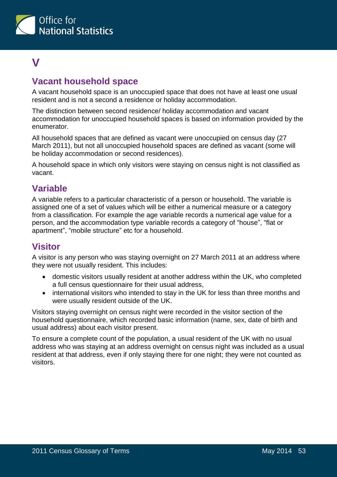

# <span id="page-52-0"></span>**V**

# **Vacant household space**

A vacant household space is an unoccupied space that does not have at least one usual resident and is not a second a residence or holiday accommodation.

The distinction between second residence/ holiday accommodation and vacant accommodation for unoccupied household spaces is based on information provided by the enumerator.

All household spaces that are defined as vacant were unoccupied on census day (27 March 2011), but not all unoccupied household spaces are defined as vacant (some will be holiday accommodation or second residences).

A household space in which only visitors were staying on census night is not classified as vacant.

#### **Variable**

A variable refers to a particular characteristic of a person or household. The variable is assigned one of a set of values which will be either a numerical measure or a category from a classification. For example the age variable records a numerical age value for a person, and the accommodation type variable records a category of "house", "flat or apartment", "mobile structure" etc for a household.

#### **Visitor**

A visitor is any person who was staying overnight on 27 March 2011 at an address where they were not usually resident. This includes:

- domestic visitors usually resident at another address within the UK, who completed a full census questionnaire for their usual address,
- international visitors who intended to stay in the UK for less than three months and were usually resident outside of the UK.

Visitors staying overnight on census night were recorded in the visitor section of the household questionnaire, which recorded basic information (name, sex, date of birth and usual address) about each visitor present.

To ensure a complete count of the population, a usual resident of the UK with no usual address who was staying at an address overnight on census night was included as a usual resident at that address, even if only staying there for one night; they were not counted as visitors.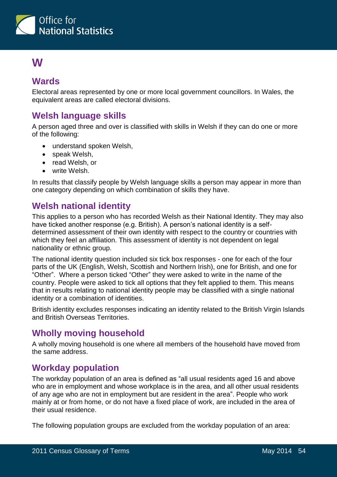

# <span id="page-53-0"></span>**W**

### **Wards**

Electoral areas represented by one or more local government councillors. In Wales, the equivalent areas are called electoral divisions.

# **Welsh language skills**

A person aged three and over is classified with skills in Welsh if they can do one or more of the following:

- understand spoken Welsh,
- speak Welsh,
- read Welsh, or
- write Welsh.

In results that classify people by Welsh language skills a person may appear in more than one category depending on which combination of skills they have.

# **Welsh national identity**

This applies to a person who has recorded Welsh as their National Identity. They may also have ticked another response (e.g. British). A person's national identity is a selfdetermined assessment of their own identity with respect to the country or countries with which they feel an affiliation. This assessment of identity is not dependent on legal nationality or ethnic group.

The national identity question included six tick box responses - one for each of the four parts of the UK (English, Welsh, Scottish and Northern Irish), one for British, and one for "Other". Where a person ticked "Other" they were asked to write in the name of the country. People were asked to tick all options that they felt applied to them. This means that in results relating to national identity people may be classified with a single national identity or a combination of identities.

British identity excludes responses indicating an identity related to the British Virgin Islands and British Overseas Territories.

# **Wholly moving household**

A wholly moving household is one where all members of the household have moved from the same address.

#### **Workday population**

The workday population of an area is defined as "all usual residents aged 16 and above who are in employment and whose workplace is in the area, and all other usual residents of any age who are not in employment but are resident in the area". People who work mainly at or from home, or do not have a fixed place of work, are included in the area of their usual residence.

The following population groups are excluded from the workday population of an area: